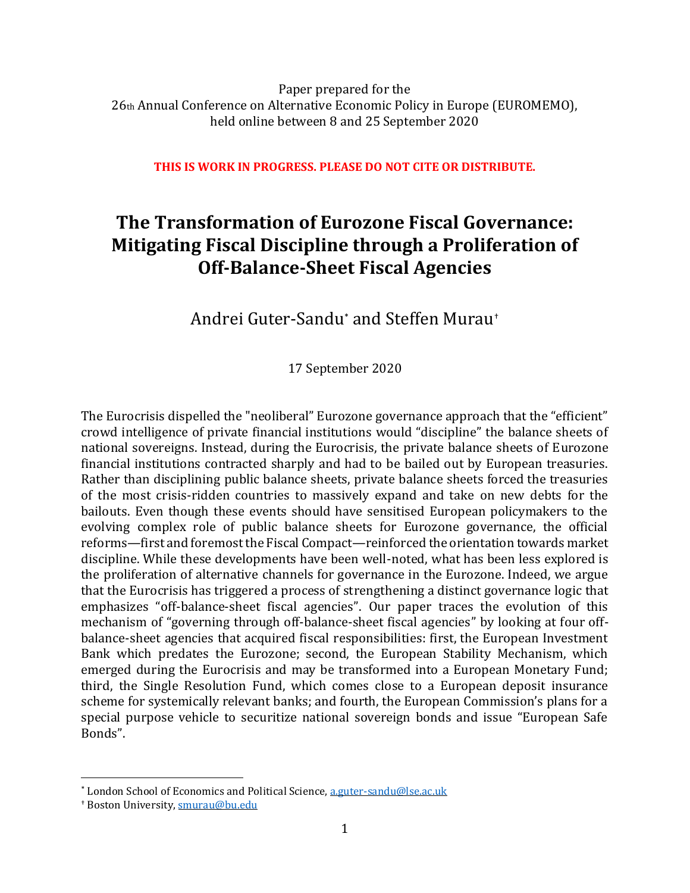Paper prepared for the 26th Annual Conference on Alternative Economic Policy in Europe (EUROMEMO), held online between 8 and 25 September 2020

**THIS IS WORK IN PROGRESS. PLEASE DO NOT CITE OR DISTRIBUTE.**

# **The Transformation of Eurozone Fiscal Governance: Mitigating Fiscal Discipline through a Proliferation of Off-Balance-Sheet Fiscal Agencies**

Andrei Guter-Sandu\* and Steffen Murau†

17 September 2020

The Eurocrisis dispelled the "neoliberal" Eurozone governance approach that the "efficient" crowd intelligence of private financial institutions would "discipline" the balance sheets of national sovereigns. Instead, during the Eurocrisis, the private balance sheets of Eurozone financial institutions contracted sharply and had to be bailed out by European treasuries. Rather than disciplining public balance sheets, private balance sheets forced the treasuries of the most crisis-ridden countries to massively expand and take on new debts for the bailouts. Even though these events should have sensitised European policymakers to the evolving complex role of public balance sheets for Eurozone governance, the official reforms—first and foremost the Fiscal Compact—reinforced the orientation towards market discipline. While these developments have been well-noted, what has been less explored is the proliferation of alternative channels for governance in the Eurozone. Indeed, we argue that the Eurocrisis has triggered a process of strengthening a distinct governance logic that emphasizes "off-balance-sheet fiscal agencies". Our paper traces the evolution of this mechanism of "governing through off-balance-sheet fiscal agencies" by looking at four offbalance-sheet agencies that acquired fiscal responsibilities: first, the European Investment Bank which predates the Eurozone; second, the European Stability Mechanism, which emerged during the Eurocrisis and may be transformed into a European Monetary Fund; third, the Single Resolution Fund, which comes close to a European deposit insurance scheme for systemically relevant banks; and fourth, the European Commission's plans for a special purpose vehicle to securitize national sovereign bonds and issue "European Safe Bonds".

<sup>\*</sup> London School of Economics and Political Science, [a.guter-sandu@lse.ac.uk](mailto:a.guter-sandu@lse.ac.uk)

<sup>†</sup> Boston University[, smurau@bu.edu](mailto:smurau@bu.edu)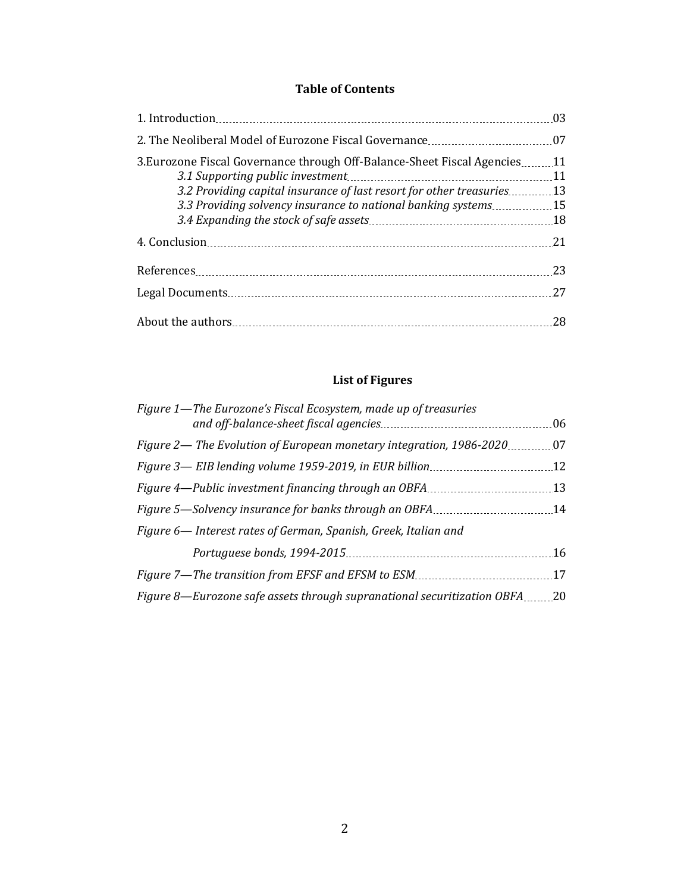### **Table of Contents**

|                                                                                                                                     | 03       |
|-------------------------------------------------------------------------------------------------------------------------------------|----------|
|                                                                                                                                     | 07       |
| 3. Eurozone Fiscal Governance through Off-Balance-Sheet Fiscal Agencies                                                             | 11<br>11 |
| 3.2 Providing capital insurance of last resort for other treasuries<br>3.3 Providing solvency insurance to national banking systems | 13<br>15 |
|                                                                                                                                     | .18      |
|                                                                                                                                     | 21       |
|                                                                                                                                     | 23       |
|                                                                                                                                     | 27       |
|                                                                                                                                     | 28       |

# **List of Figures**

| Figure 1-The Eurozone's Fiscal Ecosystem, made up of treasuries         | 06  |
|-------------------------------------------------------------------------|-----|
| Figure 2— The Evolution of European monetary integration, 1986-2020.    | 07  |
| Figure 3— EIB lending volume 1959-2019, in EUR billion                  | 12  |
| Figure 4—Public investment financing through an OBFA                    | 13  |
| Figure 5-Solvency insurance for banks through an OBFA                   | 14  |
| Figure 6— Interest rates of German, Spanish, Greek, Italian and         |     |
|                                                                         | 16  |
| Figure 7—The transition from EFSF and EFSM to ESM                       | 17  |
| Figure 8—Eurozone safe assets through supranational securitization OBFA | .20 |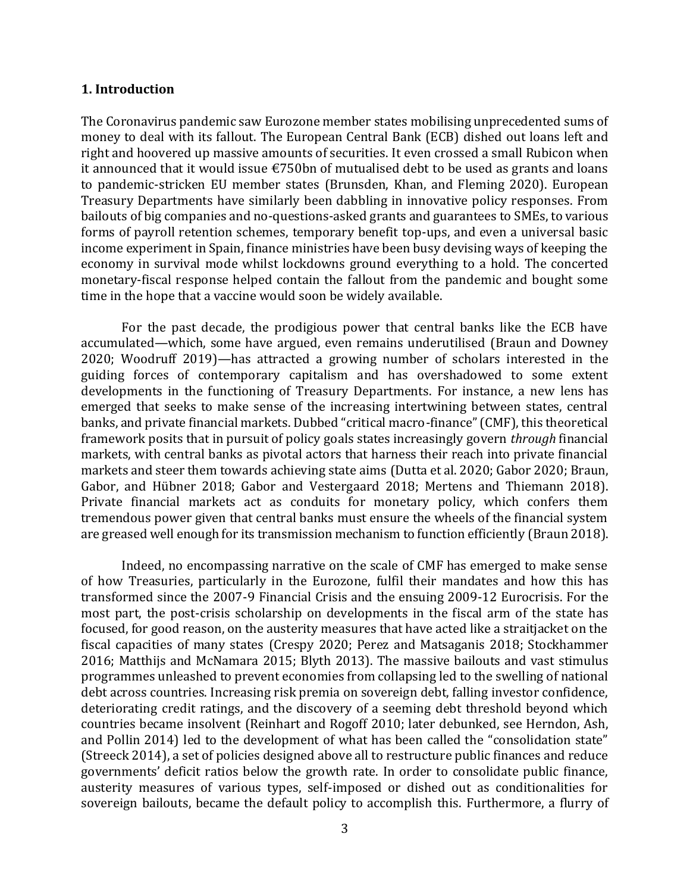#### **1. Introduction**

The Coronavirus pandemic saw Eurozone member states mobilising unprecedented sums of money to deal with its fallout. The European Central Bank (ECB) dished out loans left and right and hoovered up massive amounts of securities. It even crossed a small Rubicon when it announced that it would issue  $\epsilon$ 750bn of mutualised debt to be used as grants and loans to pandemic-stricken EU member states (Brunsden, Khan, and Fleming 2020). European Treasury Departments have similarly been dabbling in innovative policy responses. From bailouts of big companies and no-questions-asked grants and guarantees to SMEs, to various forms of payroll retention schemes, temporary benefit top-ups, and even a universal basic income experiment in Spain, finance ministries have been busy devising ways of keeping the economy in survival mode whilst lockdowns ground everything to a hold. The concerted monetary-fiscal response helped contain the fallout from the pandemic and bought some time in the hope that a vaccine would soon be widely available.

For the past decade, the prodigious power that central banks like the ECB have accumulated—which, some have argued, even remains underutilised (Braun and Downey 2020; Woodruff 2019)—has attracted a growing number of scholars interested in the guiding forces of contemporary capitalism and has overshadowed to some extent developments in the functioning of Treasury Departments. For instance, a new lens has emerged that seeks to make sense of the increasing intertwining between states, central banks, and private financial markets. Dubbed "critical macro-finance" (CMF), this theoretical framework posits that in pursuit of policy goals states increasingly govern *through* financial markets, with central banks as pivotal actors that harness their reach into private financial markets and steer them towards achieving state aims (Dutta et al. 2020; Gabor 2020; Braun, Gabor, and Hübner 2018; Gabor and Vestergaard 2018; Mertens and Thiemann 2018). Private financial markets act as conduits for monetary policy, which confers them tremendous power given that central banks must ensure the wheels of the financial system are greased well enough for its transmission mechanism to function efficiently (Braun 2018).

Indeed, no encompassing narrative on the scale of CMF has emerged to make sense of how Treasuries, particularly in the Eurozone, fulfil their mandates and how this has transformed since the 2007-9 Financial Crisis and the ensuing 2009-12 Eurocrisis. For the most part, the post-crisis scholarship on developments in the fiscal arm of the state has focused, for good reason, on the austerity measures that have acted like a straitjacket on the fiscal capacities of many states (Crespy 2020; Perez and Matsaganis 2018; Stockhammer 2016; Matthijs and McNamara 2015; Blyth 2013). The massive bailouts and vast stimulus programmes unleashed to prevent economies from collapsing led to the swelling of national debt across countries. Increasing risk premia on sovereign debt, falling investor confidence, deteriorating credit ratings, and the discovery of a seeming debt threshold beyond which countries became insolvent (Reinhart and Rogoff 2010; later debunked, see Herndon, Ash, and Pollin 2014) led to the development of what has been called the "consolidation state" (Streeck 2014), a set of policies designed above all to restructure public finances and reduce governments' deficit ratios below the growth rate. In order to consolidate public finance, austerity measures of various types, self-imposed or dished out as conditionalities for sovereign bailouts, became the default policy to accomplish this. Furthermore, a flurry of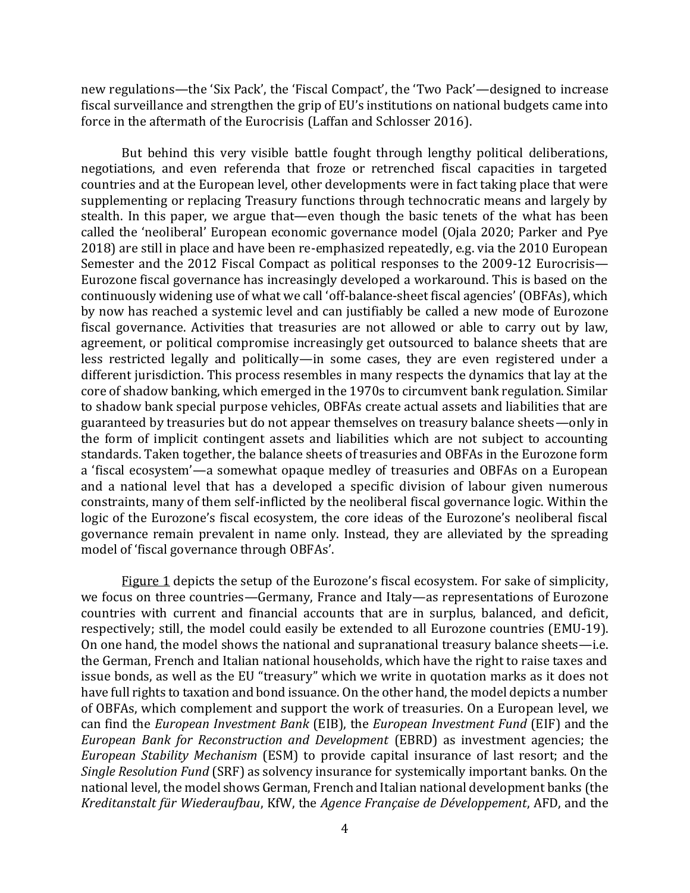new regulations—the 'Six Pack', the 'Fiscal Compact', the 'Two Pack'—designed to increase fiscal surveillance and strengthen the grip of EU's institutions on national budgets came into force in the aftermath of the Eurocrisis (Laffan and Schlosser 2016).

But behind this very visible battle fought through lengthy political deliberations, negotiations, and even referenda that froze or retrenched fiscal capacities in targeted countries and at the European level, other developments were in fact taking place that were supplementing or replacing Treasury functions through technocratic means and largely by stealth. In this paper, we argue that—even though the basic tenets of the what has been called the 'neoliberal' European economic governance model (Ojala 2020; Parker and Pye 2018) are still in place and have been re-emphasized repeatedly, e.g. via the 2010 European Semester and the 2012 Fiscal Compact as political responses to the 2009-12 Eurocrisis— Eurozone fiscal governance has increasingly developed a workaround. This is based on the continuously widening use of what we call 'off-balance-sheet fiscal agencies' (OBFAs), which by now has reached a systemic level and can justifiably be called a new mode of Eurozone fiscal governance. Activities that treasuries are not allowed or able to carry out by law, agreement, or political compromise increasingly get outsourced to balance sheets that are less restricted legally and politically—in some cases, they are even registered under a different jurisdiction. This process resembles in many respects the dynamics that lay at the core of shadow banking, which emerged in the 1970s to circumvent bank regulation. Similar to shadow bank special purpose vehicles, OBFAs create actual assets and liabilities that are guaranteed by treasuries but do not appear themselves on treasury balance sheets—only in the form of implicit contingent assets and liabilities which are not subject to accounting standards. Taken together, the balance sheets of treasuries and OBFAs in the Eurozone form a 'fiscal ecosystem'—a somewhat opaque medley of treasuries and OBFAs on a European and a national level that has a developed a specific division of labour given numerous constraints, many of them self-inflicted by the neoliberal fiscal governance logic. Within the logic of the Eurozone's fiscal ecosystem, the core ideas of the Eurozone's neoliberal fiscal governance remain prevalent in name only. Instead, they are alleviated by the spreading model of 'fiscal governance through OBFAs'.

Figure 1 depicts the setup of the Eurozone's fiscal ecosystem. For sake of simplicity, we focus on three countries—Germany, France and Italy—as representations of Eurozone countries with current and financial accounts that are in surplus, balanced, and deficit, respectively; still, the model could easily be extended to all Eurozone countries (EMU-19). On one hand, the model shows the national and supranational treasury balance sheets—i.e. the German, French and Italian national households, which have the right to raise taxes and issue bonds, as well as the EU "treasury" which we write in quotation marks as it does not have full rights to taxation and bond issuance. On the other hand, the model depicts a number of OBFAs, which complement and support the work of treasuries. On a European level, we can find the *European Investment Bank* (EIB), the *European Investment Fund* (EIF) and the *European Bank for Reconstruction and Development* (EBRD) as investment agencies; the *European Stability Mechanism* (ESM) to provide capital insurance of last resort; and the *Single Resolution Fund* (SRF) as solvency insurance for systemically important banks. On the national level, the model shows German, French and Italian national development banks (the *Kreditanstalt für Wiederaufbau*, KfW, the *Agence Française de Développement*, AFD, and the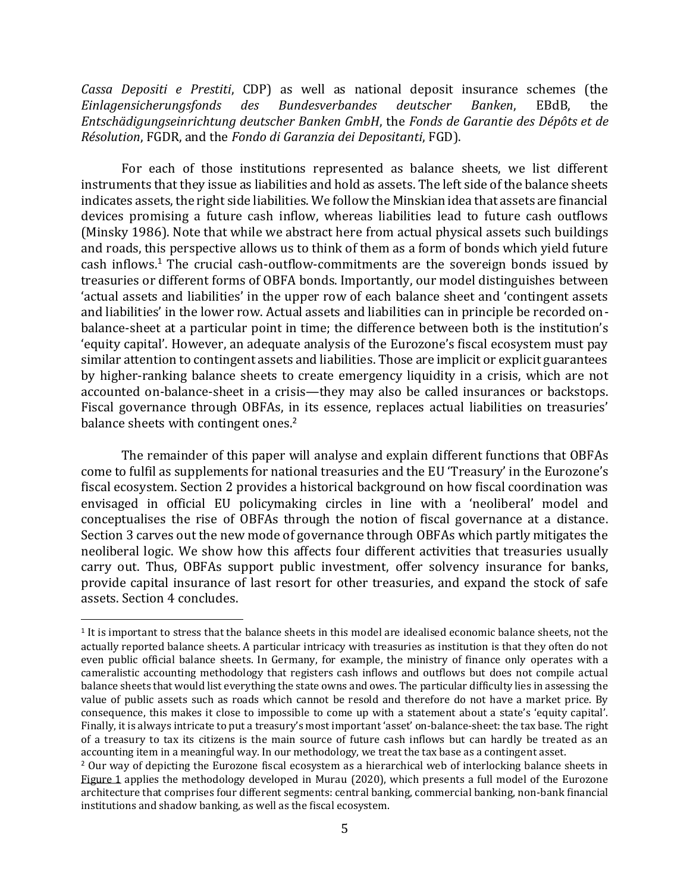*Cassa Depositi e Prestiti*, CDP) as well as national deposit insurance schemes (the *Einlagensicherungsfonds des Bundesverbandes deutscher Banken*, EBdB, the *Entschädigungseinrichtung deutscher Banken GmbH*, the *Fonds de Garantie des Dépôts et de Résolution*, FGDR, and the *Fondo di Garanzia dei Depositanti*, FGD).

For each of those institutions represented as balance sheets, we list different instruments that they issue as liabilities and hold as assets. The left side of the balance sheets indicates assets, the right side liabilities. We follow the Minskian idea that assets are financial devices promising a future cash inflow, whereas liabilities lead to future cash outflows (Minsky 1986). Note that while we abstract here from actual physical assets such buildings and roads, this perspective allows us to think of them as a form of bonds which yield future cash inflows.<sup>1</sup> The crucial cash-outflow-commitments are the sovereign bonds issued by treasuries or different forms of OBFA bonds. Importantly, our model distinguishes between 'actual assets and liabilities' in the upper row of each balance sheet and 'contingent assets and liabilities' in the lower row. Actual assets and liabilities can in principle be recorded onbalance-sheet at a particular point in time; the difference between both is the institution's 'equity capital'. However, an adequate analysis of the Eurozone's fiscal ecosystem must pay similar attention to contingent assets and liabilities. Those are implicit or explicit guarantees by higher-ranking balance sheets to create emergency liquidity in a crisis, which are not accounted on-balance-sheet in a crisis—they may also be called insurances or backstops. Fiscal governance through OBFAs, in its essence, replaces actual liabilities on treasuries' balance sheets with contingent ones.<sup>2</sup>

The remainder of this paper will analyse and explain different functions that OBFAs come to fulfil as supplements for national treasuries and the EU 'Treasury' in the Eurozone's fiscal ecosystem. Section 2 provides a historical background on how fiscal coordination was envisaged in official EU policymaking circles in line with a 'neoliberal' model and conceptualises the rise of OBFAs through the notion of fiscal governance at a distance. Section 3 carves out the new mode of governance through OBFAs which partly mitigates the neoliberal logic. We show how this affects four different activities that treasuries usually carry out. Thus, OBFAs support public investment, offer solvency insurance for banks, provide capital insurance of last resort for other treasuries, and expand the stock of safe assets. Section 4 concludes.

<sup>&</sup>lt;sup>1</sup> It is important to stress that the balance sheets in this model are idealised economic balance sheets, not the actually reported balance sheets. A particular intricacy with treasuries as institution is that they often do not even public official balance sheets. In Germany, for example, the ministry of finance only operates with a cameralistic accounting methodology that registers cash inflows and outflows but does not compile actual balance sheets that would list everything the state owns and owes. The particular difficulty lies in assessing the value of public assets such as roads which cannot be resold and therefore do not have a market price. By consequence, this makes it close to impossible to come up with a statement about a state's 'equity capital'. Finally, it is always intricate to put a treasury's most important 'asset' on-balance-sheet: the tax base. The right of a treasury to tax its citizens is the main source of future cash inflows but can hardly be treated as an accounting item in a meaningful way. In our methodology, we treat the tax base as a contingent asset.

<sup>2</sup> Our way of depicting the Eurozone fiscal ecosystem as a hierarchical web of interlocking balance sheets in Figure 1 applies the methodology developed in Murau (2020), which presents a full model of the Eurozone architecture that comprises four different segments: central banking, commercial banking, non-bank financial institutions and shadow banking, as well as the fiscal ecosystem.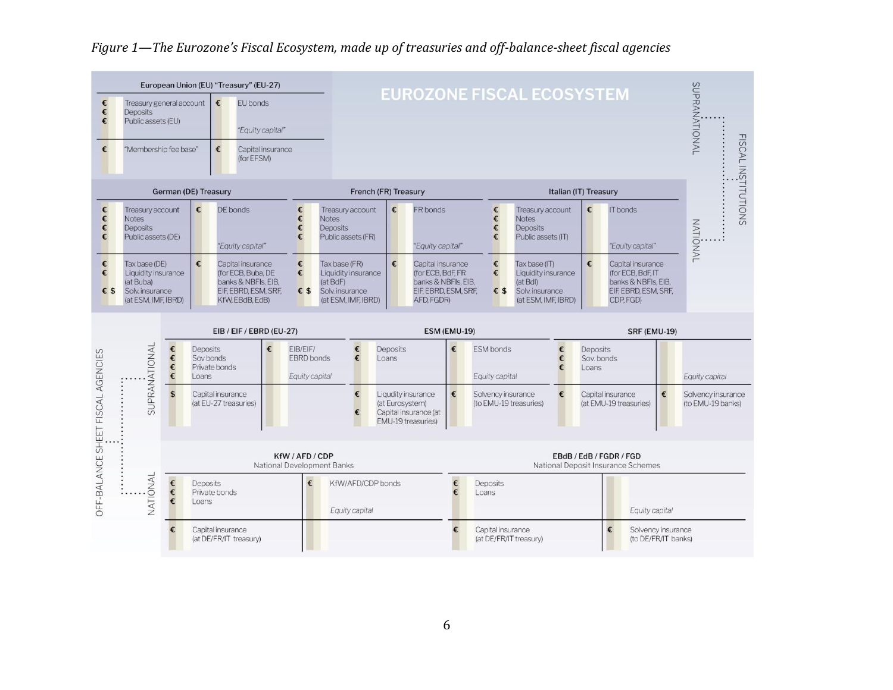

## *Figure 1—The Eurozone's Fiscal Ecosystem, made up of treasuries and off-balance-sheet fiscal agencies*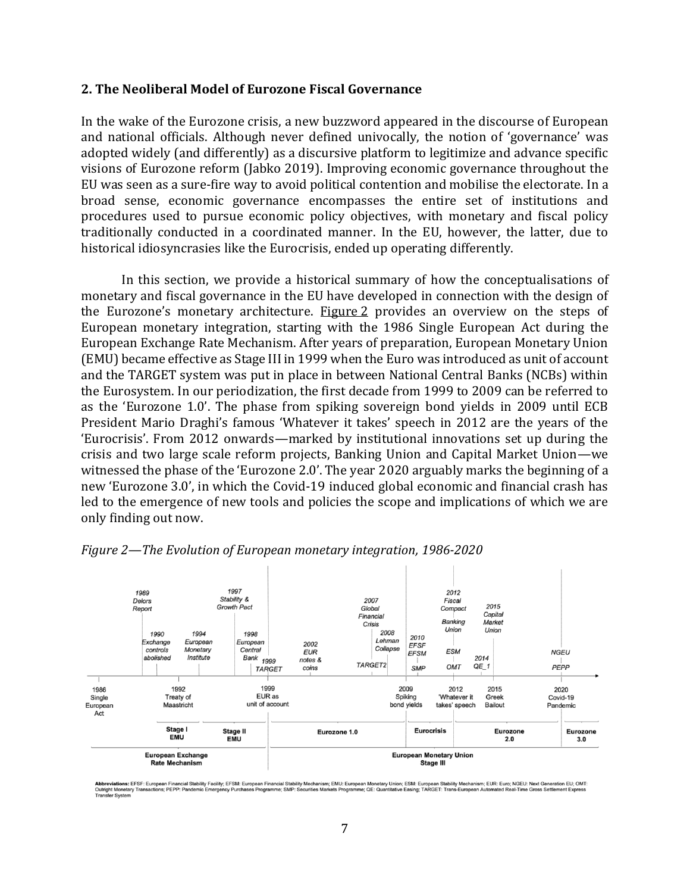#### **2. The Neoliberal Model of Eurozone Fiscal Governance**

In the wake of the Eurozone crisis, a new buzzword appeared in the discourse of European and national officials. Although never defined univocally, the notion of 'governance' was adopted widely (and differently) as a discursive platform to legitimize and advance specific visions of Eurozone reform (Jabko 2019). Improving economic governance throughout the EU was seen as a sure-fire way to avoid political contention and mobilise the electorate. In a broad sense, economic governance encompasses the entire set of institutions and procedures used to pursue economic policy objectives, with monetary and fiscal policy traditionally conducted in a coordinated manner. In the EU, however, the latter, due to historical idiosyncrasies like the Eurocrisis, ended up operating differently.

In this section, we provide a historical summary of how the conceptualisations of monetary and fiscal governance in the EU have developed in connection with the design of the Eurozone's monetary architecture. Figure 2 provides an overview on the steps of European monetary integration, starting with the 1986 Single European Act during the European Exchange Rate Mechanism. After years of preparation, European Monetary Union (EMU) became effective as Stage III in 1999 when the Euro was introduced as unit of account and the TARGET system was put in place in between National Central Banks (NCBs) within the Eurosystem. In our periodization, the first decade from 1999 to 2009 can be referred to as the 'Eurozone 1.0'. The phase from spiking sovereign bond yields in 2009 until ECB President Mario Draghi's famous 'Whatever it takes' speech in 2012 are the years of the 'Eurocrisis'. From 2012 onwards—marked by institutional innovations set up during the crisis and two large scale reform projects, Banking Union and Capital Market Union—we witnessed the phase of the 'Eurozone 2.0'. The year 2020 arguably marks the beginning of a new 'Eurozone 3.0', in which the Covid-19 induced global economic and financial crash has led to the emergence of new tools and policies the scope and implications of which we are only finding out now.



#### *Figure 2—The Evolution of European monetary integration, 1986-2020*

Abbreviations: EFSF: European Financial Stability Facility; EFSM: European Financial Stability Mechanism; EMJ: European Monetary Union; ESM: European Stability Mechanism; EUR: Euro; NGEU: Next Generation EU; OMT:<br>Outright fer System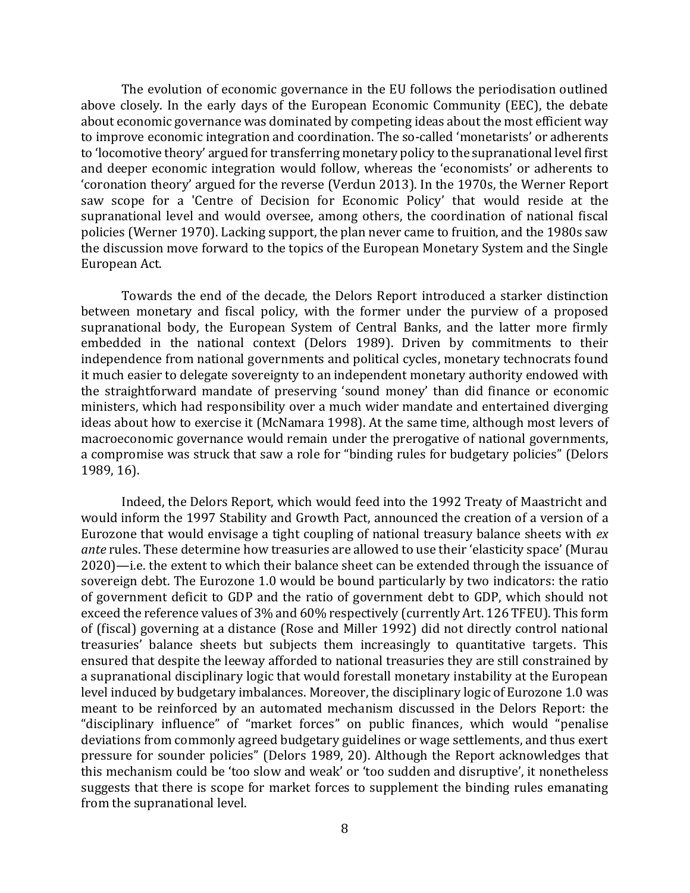The evolution of economic governance in the EU follows the periodisation outlined above closely. In the early days of the European Economic Community (EEC), the debate about economic governance was dominated by competing ideas about the most efficient way to improve economic integration and coordination. The so-called 'monetarists' or adherents to 'locomotive theory' argued for transferring monetary policy to the supranational level first and deeper economic integration would follow, whereas the 'economists' or adherents to 'coronation theory' argued for the reverse (Verdun 2013). In the 1970s, the Werner Report saw scope for a 'Centre of Decision for Economic Policy' that would reside at the supranational level and would oversee, among others, the coordination of national fiscal policies (Werner 1970). Lacking support, the plan never came to fruition, and the 1980s saw the discussion move forward to the topics of the European Monetary System and the Single European Act.

Towards the end of the decade, the Delors Report introduced a starker distinction between monetary and fiscal policy, with the former under the purview of a proposed supranational body, the European System of Central Banks, and the latter more firmly embedded in the national context (Delors 1989). Driven by commitments to their independence from national governments and political cycles, monetary technocrats found it much easier to delegate sovereignty to an independent monetary authority endowed with the straightforward mandate of preserving 'sound money' than did finance or economic ministers, which had responsibility over a much wider mandate and entertained diverging ideas about how to exercise it (McNamara 1998). At the same time, although most levers of macroeconomic governance would remain under the prerogative of national governments, a compromise was struck that saw a role for "binding rules for budgetary policies" (Delors 1989, 16).

Indeed, the Delors Report, which would feed into the 1992 Treaty of Maastricht and would inform the 1997 Stability and Growth Pact, announced the creation of a version of a Eurozone that would envisage a tight coupling of national treasury balance sheets with *ex ante* rules. These determine how treasuries are allowed to use their 'elasticity space' (Murau 2020)—i.e. the extent to which their balance sheet can be extended through the issuance of sovereign debt. The Eurozone 1.0 would be bound particularly by two indicators: the ratio of government deficit to GDP and the ratio of government debt to GDP, which should not exceed the reference values of 3% and 60% respectively (currently Art. 126 TFEU). This form of (fiscal) governing at a distance (Rose and Miller 1992) did not directly control national treasuries' balance sheets but subjects them increasingly to quantitative targets. This ensured that despite the leeway afforded to national treasuries they are still constrained by a supranational disciplinary logic that would forestall monetary instability at the European level induced by budgetary imbalances. Moreover, the disciplinary logic of Eurozone 1.0 was meant to be reinforced by an automated mechanism discussed in the Delors Report: the "disciplinary influence" of "market forces" on public finances, which would "penalise deviations from commonly agreed budgetary guidelines or wage settlements, and thus exert pressure for sounder policies" (Delors 1989, 20). Although the Report acknowledges that this mechanism could be 'too slow and weak' or 'too sudden and disruptive', it nonetheless suggests that there is scope for market forces to supplement the binding rules emanating from the supranational level.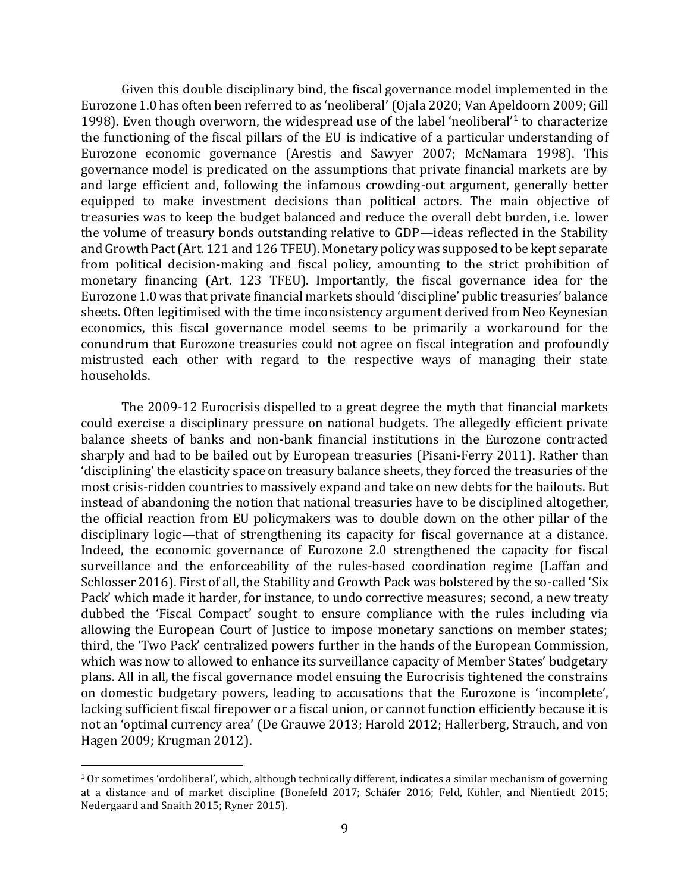Given this double disciplinary bind, the fiscal governance model implemented in the Eurozone 1.0 has often been referred to as 'neoliberal' (Ojala 2020; Van Apeldoorn 2009; Gill 1998). Even though overworn, the widespread use of the label 'neoliberal'<sup>1</sup> to characterize the functioning of the fiscal pillars of the EU is indicative of a particular understanding of Eurozone economic governance (Arestis and Sawyer 2007; McNamara 1998). This governance model is predicated on the assumptions that private financial markets are by and large efficient and, following the infamous crowding-out argument, generally better equipped to make investment decisions than political actors. The main objective of treasuries was to keep the budget balanced and reduce the overall debt burden, i.e. lower the volume of treasury bonds outstanding relative to GDP—ideas reflected in the Stability and Growth Pact (Art. 121 and 126 TFEU). Monetary policy was supposed to be kept separate from political decision-making and fiscal policy, amounting to the strict prohibition of monetary financing (Art. 123 TFEU). Importantly, the fiscal governance idea for the Eurozone 1.0 was that private financial markets should 'discipline' public treasuries' balance sheets. Often legitimised with the time inconsistency argument derived from Neo Keynesian economics, this fiscal governance model seems to be primarily a workaround for the conundrum that Eurozone treasuries could not agree on fiscal integration and profoundly mistrusted each other with regard to the respective ways of managing their state households.

The 2009-12 Eurocrisis dispelled to a great degree the myth that financial markets could exercise a disciplinary pressure on national budgets. The allegedly efficient private balance sheets of banks and non-bank financial institutions in the Eurozone contracted sharply and had to be bailed out by European treasuries (Pisani-Ferry 2011). Rather than 'disciplining' the elasticity space on treasury balance sheets, they forced the treasuries of the most crisis-ridden countries to massively expand and take on new debts for the bailouts. But instead of abandoning the notion that national treasuries have to be disciplined altogether, the official reaction from EU policymakers was to double down on the other pillar of the disciplinary logic—that of strengthening its capacity for fiscal governance at a distance. Indeed, the economic governance of Eurozone 2.0 strengthened the capacity for fiscal surveillance and the enforceability of the rules-based coordination regime (Laffan and Schlosser 2016). First of all, the Stability and Growth Pack was bolstered by the so-called 'Six Pack' which made it harder, for instance, to undo corrective measures; second, a new treaty dubbed the 'Fiscal Compact' sought to ensure compliance with the rules including via allowing the European Court of Justice to impose monetary sanctions on member states; third, the 'Two Pack' centralized powers further in the hands of the European Commission, which was now to allowed to enhance its surveillance capacity of Member States' budgetary plans. All in all, the fiscal governance model ensuing the Eurocrisis tightened the constrains on domestic budgetary powers, leading to accusations that the Eurozone is 'incomplete', lacking sufficient fiscal firepower or a fiscal union, or cannot function efficiently because it is not an 'optimal currency area' (De Grauwe 2013; Harold 2012; Hallerberg, Strauch, and von Hagen 2009; Krugman 2012).

<sup>1</sup> Or sometimes 'ordoliberal', which, although technically different, indicates a similar mechanism of governing at a distance and of market discipline (Bonefeld 2017; Schäfer 2016; Feld, Köhler, and Nientiedt 2015; Nedergaard and Snaith 2015; Ryner 2015).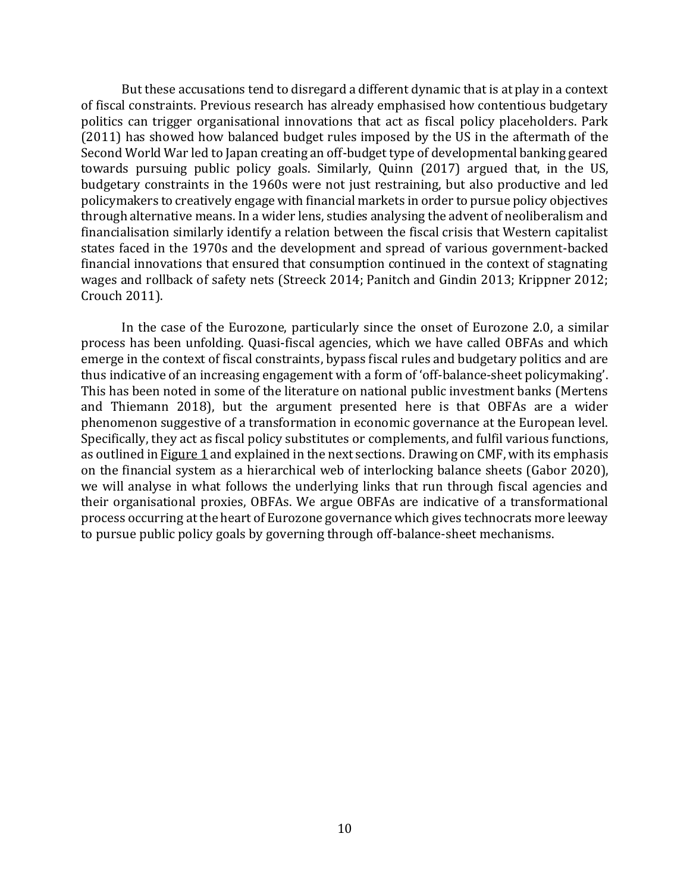But these accusations tend to disregard a different dynamic that is at play in a context of fiscal constraints. Previous research has already emphasised how contentious budgetary politics can trigger organisational innovations that act as fiscal policy placeholders. Park (2011) has showed how balanced budget rules imposed by the US in the aftermath of the Second World War led to Japan creating an off-budget type of developmental banking geared towards pursuing public policy goals. Similarly, Quinn (2017) argued that, in the US, budgetary constraints in the 1960s were not just restraining, but also productive and led policymakers to creatively engage with financial markets in order to pursue policy objectives through alternative means. In a wider lens, studies analysing the advent of neoliberalism and financialisation similarly identify a relation between the fiscal crisis that Western capitalist states faced in the 1970s and the development and spread of various government-backed financial innovations that ensured that consumption continued in the context of stagnating wages and rollback of safety nets (Streeck 2014; Panitch and Gindin 2013; Krippner 2012; Crouch 2011).

In the case of the Eurozone, particularly since the onset of Eurozone 2.0, a similar process has been unfolding. Quasi-fiscal agencies, which we have called OBFAs and which emerge in the context of fiscal constraints, bypass fiscal rules and budgetary politics and are thus indicative of an increasing engagement with a form of 'off-balance-sheet policymaking'. This has been noted in some of the literature on national public investment banks (Mertens and Thiemann 2018), but the argument presented here is that OBFAs are a wider phenomenon suggestive of a transformation in economic governance at the European level. Specifically, they act as fiscal policy substitutes or complements, and fulfil various functions, as outlined in Figure 1 and explained in the next sections. Drawing on CMF, with its emphasis on the financial system as a hierarchical web of interlocking balance sheets (Gabor 2020), we will analyse in what follows the underlying links that run through fiscal agencies and their organisational proxies, OBFAs. We argue OBFAs are indicative of a transformational process occurring at the heart of Eurozone governance which gives technocrats more leeway to pursue public policy goals by governing through off-balance-sheet mechanisms.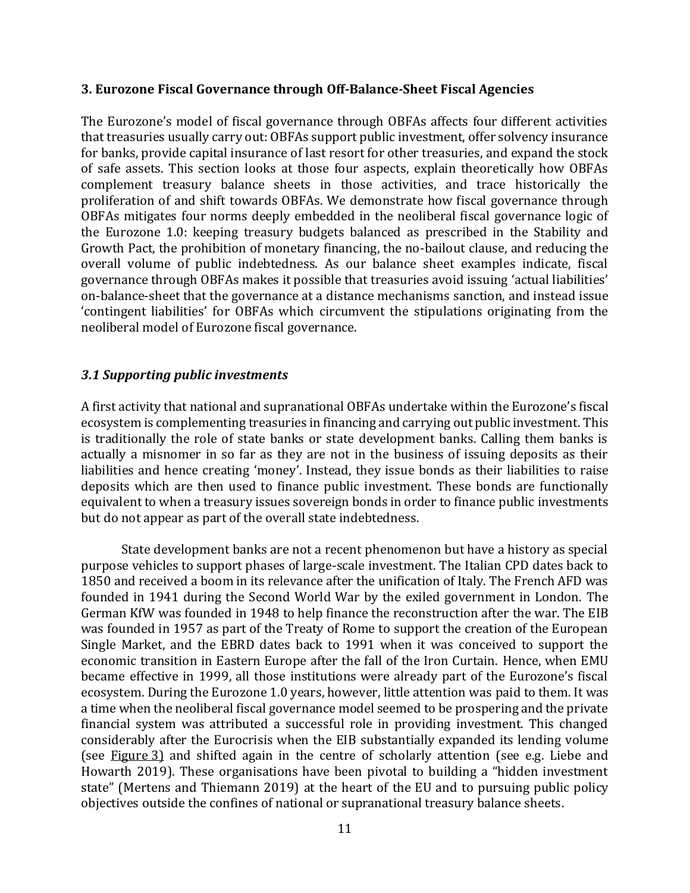#### **3. Eurozone Fiscal Governance through Off-Balance-Sheet Fiscal Agencies**

The Eurozone's model of fiscal governance through OBFAs affects four different activities that treasuries usually carry out: OBFAs support public investment, offer solvency insurance for banks, provide capital insurance of last resort for other treasuries, and expand the stock of safe assets. This section looks at those four aspects, explain theoretically how OBFAs complement treasury balance sheets in those activities, and trace historically the proliferation of and shift towards OBFAs. We demonstrate how fiscal governance through OBFAs mitigates four norms deeply embedded in the neoliberal fiscal governance logic of the Eurozone 1.0: keeping treasury budgets balanced as prescribed in the Stability and Growth Pact, the prohibition of monetary financing, the no-bailout clause, and reducing the overall volume of public indebtedness. As our balance sheet examples indicate, fiscal governance through OBFAs makes it possible that treasuries avoid issuing 'actual liabilities' on-balance-sheet that the governance at a distance mechanisms sanction, and instead issue 'contingent liabilities' for OBFAs which circumvent the stipulations originating from the neoliberal model of Eurozone fiscal governance.

## *3.1 Supporting public investments*

A first activity that national and supranational OBFAs undertake within the Eurozone's fiscal ecosystem is complementing treasuries in financing and carrying out public investment. This is traditionally the role of state banks or state development banks. Calling them banks is actually a misnomer in so far as they are not in the business of issuing deposits as their liabilities and hence creating 'money'. Instead, they issue bonds as their liabilities to raise deposits which are then used to finance public investment. These bonds are functionally equivalent to when a treasury issues sovereign bonds in order to finance public investments but do not appear as part of the overall state indebtedness.

State development banks are not a recent phenomenon but have a history as special purpose vehicles to support phases of large-scale investment. The Italian CPD dates back to 1850 and received a boom in its relevance after the unification of Italy. The French AFD was founded in 1941 during the Second World War by the exiled government in London. The German KfW was founded in 1948 to help finance the reconstruction after the war. The EIB was founded in 1957 as part of the Treaty of Rome to support the creation of the European Single Market, and the EBRD dates back to 1991 when it was conceived to support the economic transition in Eastern Europe after the fall of the Iron Curtain. Hence, when EMU became effective in 1999, all those institutions were already part of the Eurozone's fiscal ecosystem. During the Eurozone 1.0 years, however, little attention was paid to them. It was a time when the neoliberal fiscal governance model seemed to be prospering and the private financial system was attributed a successful role in providing investment. This changed considerably after the Eurocrisis when the EIB substantially expanded its lending volume (see Figure 3) and shifted again in the centre of scholarly attention (see e.g. Liebe and Howarth 2019). These organisations have been pivotal to building a "hidden investment state" (Mertens and Thiemann 2019) at the heart of the EU and to pursuing public policy objectives outside the confines of national or supranational treasury balance sheets.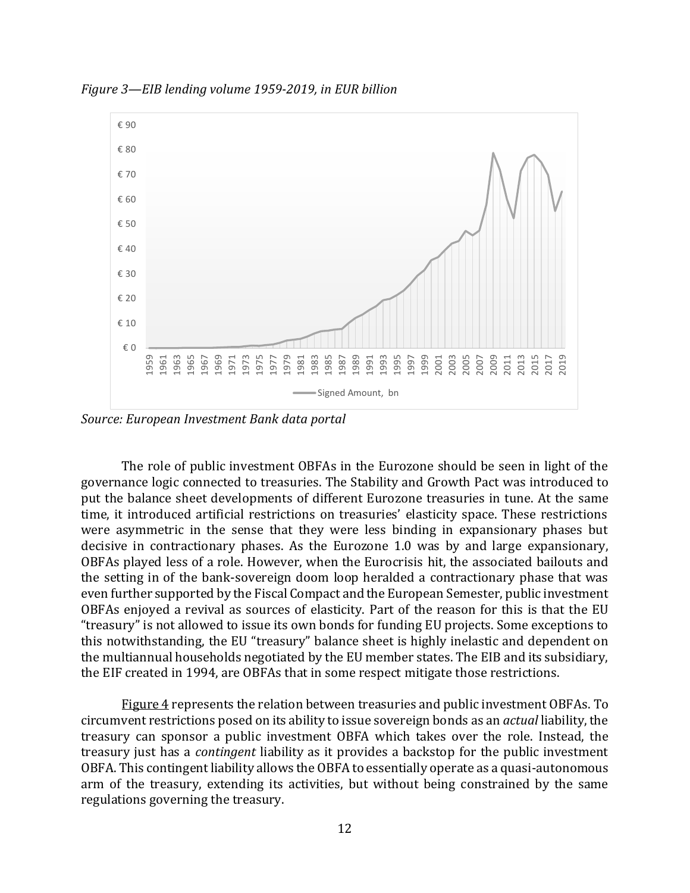

*Figure 3—EIB lending volume 1959-2019, in EUR billion*

*Source: European Investment Bank data portal*

The role of public investment OBFAs in the Eurozone should be seen in light of the governance logic connected to treasuries. The Stability and Growth Pact was introduced to put the balance sheet developments of different Eurozone treasuries in tune. At the same time, it introduced artificial restrictions on treasuries' elasticity space. These restrictions were asymmetric in the sense that they were less binding in expansionary phases but decisive in contractionary phases. As the Eurozone 1.0 was by and large expansionary, OBFAs played less of a role. However, when the Eurocrisis hit, the associated bailouts and the setting in of the bank-sovereign doom loop heralded a contractionary phase that was even further supported by the Fiscal Compact and the European Semester, public investment OBFAs enjoyed a revival as sources of elasticity. Part of the reason for this is that the EU "treasury" is not allowed to issue its own bonds for funding EU projects. Some exceptions to this notwithstanding, the EU "treasury" balance sheet is highly inelastic and dependent on the multiannual households negotiated by the EU member states. The EIB and its subsidiary, the EIF created in 1994, are OBFAs that in some respect mitigate those restrictions.

Figure 4 represents the relation between treasuries and public investment OBFAs. To circumvent restrictions posed on its ability to issue sovereign bonds as an *actual* liability, the treasury can sponsor a public investment OBFA which takes over the role. Instead, the treasury just has a *contingent* liability as it provides a backstop for the public investment OBFA. This contingent liability allows the OBFA to essentially operate as a quasi-autonomous arm of the treasury, extending its activities, but without being constrained by the same regulations governing the treasury.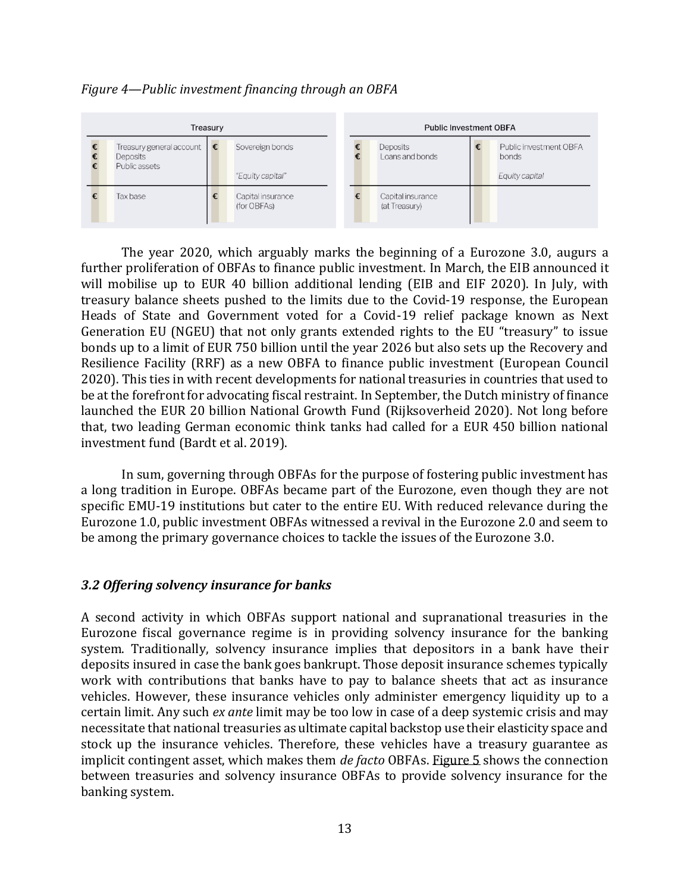## *Figure 4—Public investment financing through an OBFA*



The year 2020, which arguably marks the beginning of a Eurozone 3.0, augurs a further proliferation of OBFAs to finance public investment. In March, the EIB announced it will mobilise up to EUR 40 billion additional lending (EIB and EIF 2020). In July, with treasury balance sheets pushed to the limits due to the Covid-19 response, the European Heads of State and Government voted for a Covid-19 relief package known as Next Generation EU (NGEU) that not only grants extended rights to the EU "treasury" to issue bonds up to a limit of EUR 750 billion until the year 2026 but also sets up the Recovery and Resilience Facility (RRF) as a new OBFA to finance public investment (European Council 2020). This ties in with recent developments for national treasuries in countries that used to be at the forefront for advocating fiscal restraint. In September, the Dutch ministry of finance launched the EUR 20 billion National Growth Fund (Rijksoverheid 2020). Not long before that, two leading German economic think tanks had called for a EUR 450 billion national investment fund (Bardt et al. 2019).

In sum, governing through OBFAs for the purpose of fostering public investment has a long tradition in Europe. OBFAs became part of the Eurozone, even though they are not specific EMU-19 institutions but cater to the entire EU. With reduced relevance during the Eurozone 1.0, public investment OBFAs witnessed a revival in the Eurozone 2.0 and seem to be among the primary governance choices to tackle the issues of the Eurozone 3.0.

#### *3.2 Offering solvency insurance for banks*

A second activity in which OBFAs support national and supranational treasuries in the Eurozone fiscal governance regime is in providing solvency insurance for the banking system. Traditionally, solvency insurance implies that depositors in a bank have their deposits insured in case the bank goes bankrupt. Those deposit insurance schemes typically work with contributions that banks have to pay to balance sheets that act as insurance vehicles. However, these insurance vehicles only administer emergency liquidity up to a certain limit. Any such *ex ante* limit may be too low in case of a deep systemic crisis and may necessitate that national treasuries as ultimate capital backstop use their elasticity space and stock up the insurance vehicles. Therefore, these vehicles have a treasury guarantee as implicit contingent asset, which makes them *de facto* OBFAs. Figure 5 shows the connection between treasuries and solvency insurance OBFAs to provide solvency insurance for the banking system.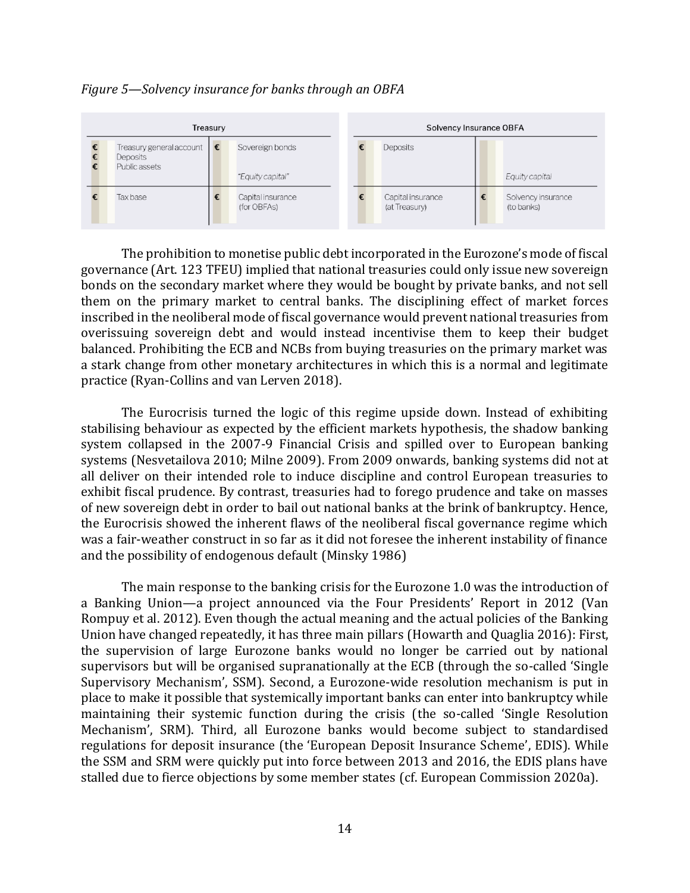#### *Figure 5—Solvency insurance for banks through an OBFA*



The prohibition to monetise public debt incorporated in the Eurozone's mode of fiscal governance (Art. 123 TFEU) implied that national treasuries could only issue new sovereign bonds on the secondary market where they would be bought by private banks, and not sell them on the primary market to central banks. The disciplining effect of market forces inscribed in the neoliberal mode of fiscal governance would prevent national treasuries from overissuing sovereign debt and would instead incentivise them to keep their budget balanced. Prohibiting the ECB and NCBs from buying treasuries on the primary market was a stark change from other monetary architectures in which this is a normal and legitimate practice (Ryan-Collins and van Lerven 2018).

The Eurocrisis turned the logic of this regime upside down. Instead of exhibiting stabilising behaviour as expected by the efficient markets hypothesis, the shadow banking system collapsed in the 2007-9 Financial Crisis and spilled over to European banking systems (Nesvetailova 2010; Milne 2009). From 2009 onwards, banking systems did not at all deliver on their intended role to induce discipline and control European treasuries to exhibit fiscal prudence. By contrast, treasuries had to forego prudence and take on masses of new sovereign debt in order to bail out national banks at the brink of bankruptcy. Hence, the Eurocrisis showed the inherent flaws of the neoliberal fiscal governance regime which was a fair-weather construct in so far as it did not foresee the inherent instability of finance and the possibility of endogenous default (Minsky 1986)

The main response to the banking crisis for the Eurozone 1.0 was the introduction of a Banking Union—a project announced via the Four Presidents' Report in 2012 (Van Rompuy et al. 2012). Even though the actual meaning and the actual policies of the Banking Union have changed repeatedly, it has three main pillars (Howarth and Quaglia 2016): First, the supervision of large Eurozone banks would no longer be carried out by national supervisors but will be organised supranationally at the ECB (through the so-called 'Single Supervisory Mechanism', SSM). Second, a Eurozone-wide resolution mechanism is put in place to make it possible that systemically important banks can enter into bankruptcy while maintaining their systemic function during the crisis (the so-called 'Single Resolution Mechanism', SRM). Third, all Eurozone banks would become subject to standardised regulations for deposit insurance (the 'European Deposit Insurance Scheme', EDIS). While the SSM and SRM were quickly put into force between 2013 and 2016, the EDIS plans have stalled due to fierce objections by some member states (cf. European Commission 2020a).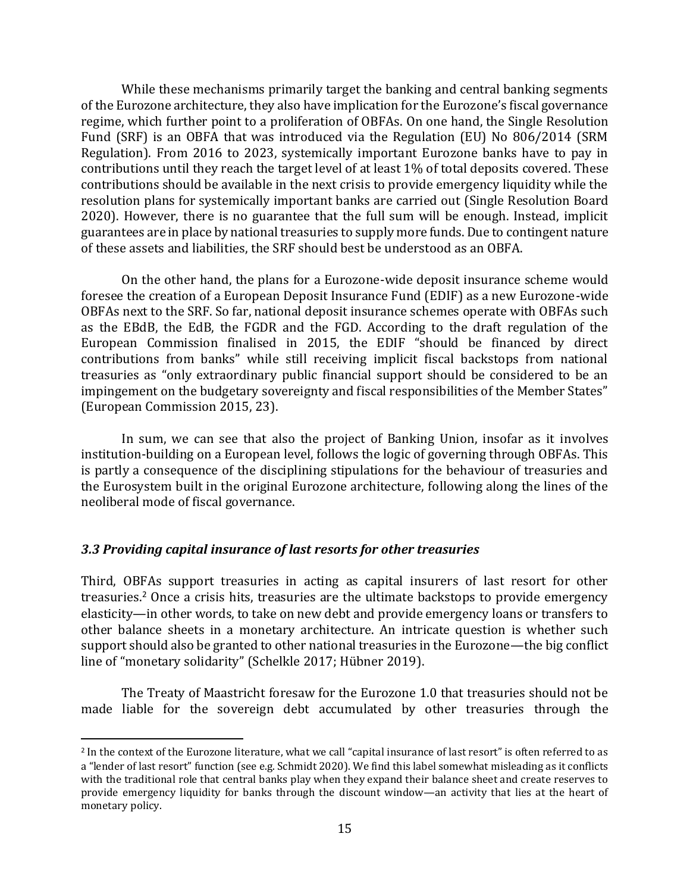While these mechanisms primarily target the banking and central banking segments of the Eurozone architecture, they also have implication for the Eurozone's fiscal governance regime, which further point to a proliferation of OBFAs. On one hand, the Single Resolution Fund (SRF) is an OBFA that was introduced via the Regulation (EU) No 806/2014 (SRM Regulation). From 2016 to 2023, systemically important Eurozone banks have to pay in contributions until they reach the target level of at least 1% of total deposits covered. These contributions should be available in the next crisis to provide emergency liquidity while the resolution plans for systemically important banks are carried out (Single Resolution Board 2020). However, there is no guarantee that the full sum will be enough. Instead, implicit guarantees are in place by national treasuries to supply more funds. Due to contingent nature of these assets and liabilities, the SRF should best be understood as an OBFA.

On the other hand, the plans for a Eurozone-wide deposit insurance scheme would foresee the creation of a European Deposit Insurance Fund (EDIF) as a new Eurozone-wide OBFAs next to the SRF. So far, national deposit insurance schemes operate with OBFAs such as the EBdB, the EdB, the FGDR and the FGD. According to the draft regulation of the European Commission finalised in 2015, the EDIF "should be financed by direct contributions from banks" while still receiving implicit fiscal backstops from national treasuries as "only extraordinary public financial support should be considered to be an impingement on the budgetary sovereignty and fiscal responsibilities of the Member States" (European Commission 2015, 23).

In sum, we can see that also the project of Banking Union, insofar as it involves institution-building on a European level, follows the logic of governing through OBFAs. This is partly a consequence of the disciplining stipulations for the behaviour of treasuries and the Eurosystem built in the original Eurozone architecture, following along the lines of the neoliberal mode of fiscal governance.

# *3.3 Providing capital insurance of last resorts for other treasuries*

Third, OBFAs support treasuries in acting as capital insurers of last resort for other treasuries.<sup>2</sup> Once a crisis hits, treasuries are the ultimate backstops to provide emergency elasticity—in other words, to take on new debt and provide emergency loans or transfers to other balance sheets in a monetary architecture. An intricate question is whether such support should also be granted to other national treasuries in the Eurozone—the big conflict line of "monetary solidarity" (Schelkle 2017; Hübner 2019).

The Treaty of Maastricht foresaw for the Eurozone 1.0 that treasuries should not be made liable for the sovereign debt accumulated by other treasuries through the

<sup>2</sup> In the context of the Eurozone literature, what we call "capital insurance of last resort" is often referred to as a "lender of last resort" function (see e.g. Schmidt 2020). We find this label somewhat misleading as it conflicts with the traditional role that central banks play when they expand their balance sheet and create reserves to provide emergency liquidity for banks through the discount window—an activity that lies at the heart of monetary policy.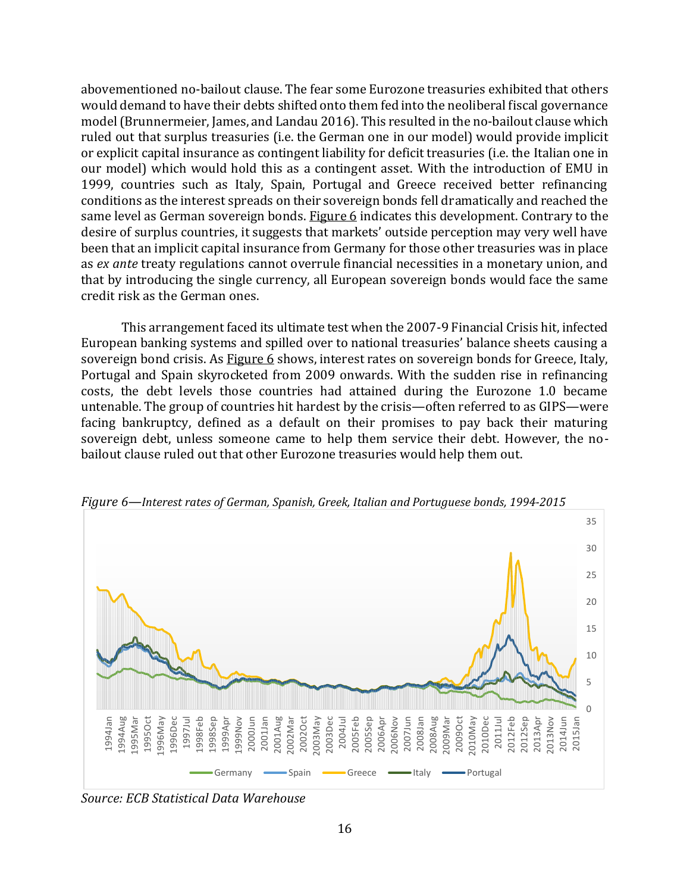abovementioned no-bailout clause. The fear some Eurozone treasuries exhibited that others would demand to have their debts shifted onto them fed into the neoliberal fiscal governance model(Brunnermeier, James, and Landau 2016). This resulted in the no-bailout clause which ruled out that surplus treasuries (i.e. the German one in our model) would provide implicit or explicit capital insurance as contingent liability for deficit treasuries (i.e. the Italian one in our model) which would hold this as a contingent asset. With the introduction of EMU in 1999, countries such as Italy, Spain, Portugal and Greece received better refinancing conditions as the interest spreads on their sovereign bonds fell dramatically and reached the same level as German sovereign bonds. Figure 6 indicates this development. Contrary to the desire of surplus countries, it suggests that markets' outside perception may very well have been that an implicit capital insurance from Germany for those other treasuries was in place as *ex ante* treaty regulations cannot overrule financial necessities in a monetary union, and that by introducing the single currency, all European sovereign bonds would face the same credit risk as the German ones.

This arrangement faced its ultimate test when the 2007-9 Financial Crisis hit, infected European banking systems and spilled over to national treasuries' balance sheets causing a sovereign bond crisis. As Figure 6 shows, interest rates on sovereign bonds for Greece, Italy, Portugal and Spain skyrocketed from 2009 onwards. With the sudden rise in refinancing costs, the debt levels those countries had attained during the Eurozone 1.0 became untenable. The group of countries hit hardest by the crisis—often referred to as GIPS—were facing bankruptcy, defined as a default on their promises to pay back their maturing sovereign debt, unless someone came to help them service their debt. However, the nobailout clause ruled out that other Eurozone treasuries would help them out.



*Figure 6—Interest rates of German, Spanish, Greek, Italian and Portuguese bonds, 1994-2015*

*Source: ECB Statistical Data Warehouse*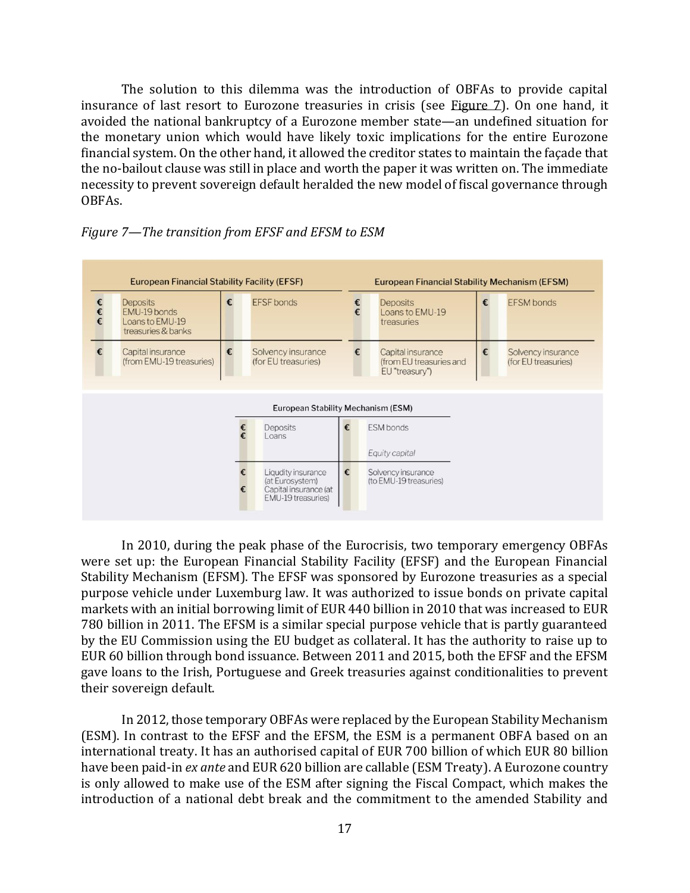The solution to this dilemma was the introduction of OBFAs to provide capital insurance of last resort to Eurozone treasuries in crisis (see Figure 7). On one hand, it avoided the national bankruptcy of a Eurozone member state—an undefined situation for the monetary union which would have likely toxic implications for the entire Eurozone financial system. On the other hand, it allowed the creditor states to maintain the façade that the no-bailout clause was still in place and worth the paper it was written on. The immediate necessity to prevent sovereign default heralded the new model of fiscal governance through OBFAs.





In 2010, during the peak phase of the Eurocrisis, two temporary emergency OBFAs were set up: the European Financial Stability Facility (EFSF) and the European Financial Stability Mechanism (EFSM). The EFSF was sponsored by Eurozone treasuries as a special purpose vehicle under Luxemburg law. It was authorized to issue bonds on private capital markets with an initial borrowing limit of EUR 440 billion in 2010 that was increased to EUR 780 billion in 2011. The EFSM is a similar special purpose vehicle that is partly guaranteed by the EU Commission using the EU budget as collateral. It has the authority to raise up to EUR 60 billion through bond issuance. Between 2011 and 2015, both the EFSF and the EFSM gave loans to the Irish, Portuguese and Greek treasuries against conditionalities to prevent their sovereign default.

In 2012, those temporary OBFAs were replaced by the European Stability Mechanism (ESM). In contrast to the EFSF and the EFSM, the ESM is a permanent OBFA based on an international treaty. It has an authorised capital of EUR 700 billion of which EUR 80 billion have been paid-in *ex ante* and EUR 620 billion are callable (ESM Treaty). A Eurozone country is only allowed to make use of the ESM after signing the Fiscal Compact, which makes the introduction of a national debt break and the commitment to the amended Stability and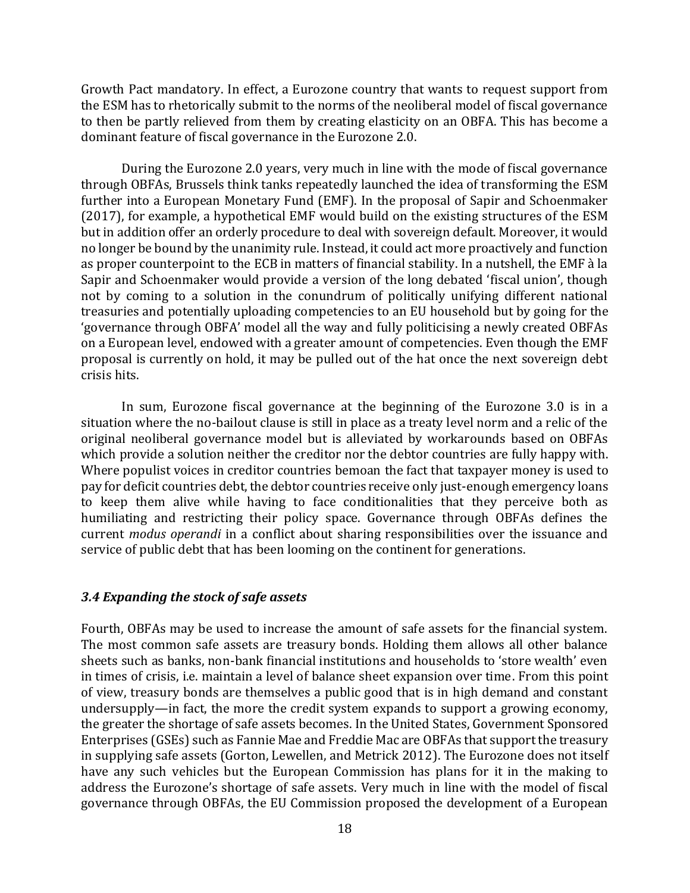Growth Pact mandatory. In effect, a Eurozone country that wants to request support from the ESM has to rhetorically submit to the norms of the neoliberal model of fiscal governance to then be partly relieved from them by creating elasticity on an OBFA. This has become a dominant feature of fiscal governance in the Eurozone 2.0.

During the Eurozone 2.0 years, very much in line with the mode of fiscal governance through OBFAs, Brussels think tanks repeatedly launched the idea of transforming the ESM further into a European Monetary Fund (EMF). In the proposal of Sapir and Schoenmaker (2017), for example, a hypothetical EMF would build on the existing structures of the ESM but in addition offer an orderly procedure to deal with sovereign default. Moreover, it would no longer be bound by the unanimity rule. Instead, it could act more proactively and function as proper counterpoint to the ECB in matters of financial stability. In a nutshell, the EMF à la Sapir and Schoenmaker would provide a version of the long debated 'fiscal union', though not by coming to a solution in the conundrum of politically unifying different national treasuries and potentially uploading competencies to an EU household but by going for the 'governance through OBFA' model all the way and fully politicising a newly created OBFAs on a European level, endowed with a greater amount of competencies. Even though the EMF proposal is currently on hold, it may be pulled out of the hat once the next sovereign debt crisis hits.

In sum, Eurozone fiscal governance at the beginning of the Eurozone 3.0 is in a situation where the no-bailout clause is still in place as a treaty level norm and a relic of the original neoliberal governance model but is alleviated by workarounds based on OBFAs which provide a solution neither the creditor nor the debtor countries are fully happy with. Where populist voices in creditor countries bemoan the fact that taxpayer money is used to pay for deficit countries debt, the debtor countries receive only just-enough emergency loans to keep them alive while having to face conditionalities that they perceive both as humiliating and restricting their policy space. Governance through OBFAs defines the current *modus operandi* in a conflict about sharing responsibilities over the issuance and service of public debt that has been looming on the continent for generations.

#### *3.4 Expanding the stock of safe assets*

Fourth, OBFAs may be used to increase the amount of safe assets for the financial system. The most common safe assets are treasury bonds. Holding them allows all other balance sheets such as banks, non-bank financial institutions and households to 'store wealth' even in times of crisis, i.e. maintain a level of balance sheet expansion over time. From this point of view, treasury bonds are themselves a public good that is in high demand and constant undersupply—in fact, the more the credit system expands to support a growing economy, the greater the shortage of safe assets becomes. In the United States, Government Sponsored Enterprises (GSEs) such as Fannie Mae and Freddie Mac are OBFAs that support the treasury in supplying safe assets (Gorton, Lewellen, and Metrick 2012). The Eurozone does not itself have any such vehicles but the European Commission has plans for it in the making to address the Eurozone's shortage of safe assets. Very much in line with the model of fiscal governance through OBFAs, the EU Commission proposed the development of a European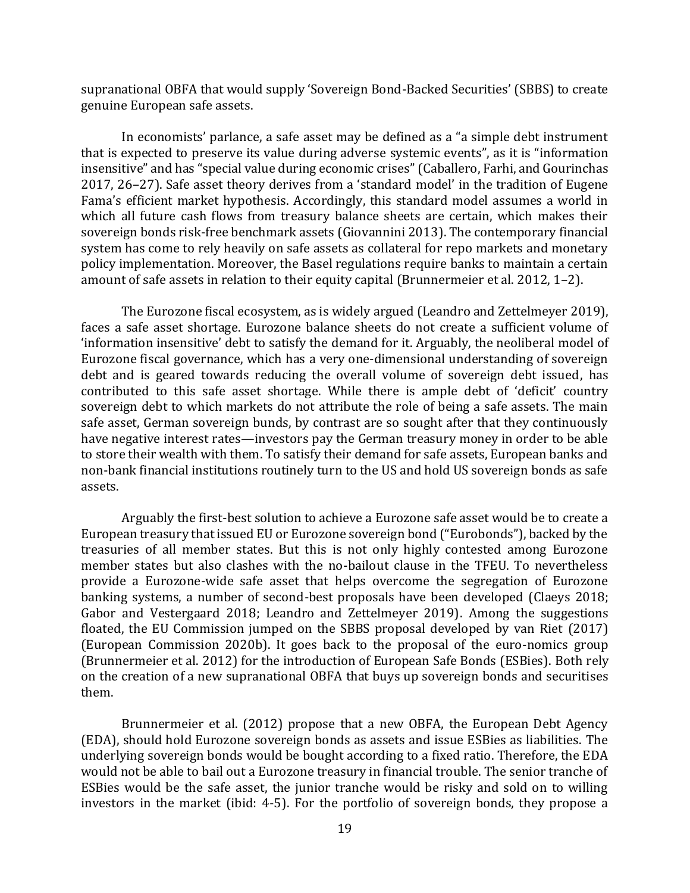supranational OBFA that would supply 'Sovereign Bond-Backed Securities' (SBBS) to create genuine European safe assets.

In economists' parlance, a safe asset may be defined as a "a simple debt instrument that is expected to preserve its value during adverse systemic events", as it is "information insensitive" and has "special value during economic crises" (Caballero, Farhi, and Gourinchas 2017, 26–27). Safe asset theory derives from a 'standard model' in the tradition of Eugene Fama's efficient market hypothesis. Accordingly, this standard model assumes a world in which all future cash flows from treasury balance sheets are certain, which makes their sovereign bonds risk-free benchmark assets (Giovannini 2013). The contemporary financial system has come to rely heavily on safe assets as collateral for repo markets and monetary policy implementation. Moreover, the Basel regulations require banks to maintain a certain amount of safe assets in relation to their equity capital (Brunnermeier et al. 2012, 1–2).

The Eurozone fiscal ecosystem, as is widely argued (Leandro and Zettelmeyer 2019), faces a safe asset shortage. Eurozone balance sheets do not create a sufficient volume of 'information insensitive' debt to satisfy the demand for it. Arguably, the neoliberal model of Eurozone fiscal governance, which has a very one-dimensional understanding of sovereign debt and is geared towards reducing the overall volume of sovereign debt issued, has contributed to this safe asset shortage. While there is ample debt of 'deficit' country sovereign debt to which markets do not attribute the role of being a safe assets. The main safe asset, German sovereign bunds, by contrast are so sought after that they continuously have negative interest rates—investors pay the German treasury money in order to be able to store their wealth with them. To satisfy their demand for safe assets, European banks and non-bank financial institutions routinely turn to the US and hold US sovereign bonds as safe assets.

Arguably the first-best solution to achieve a Eurozone safe asset would be to create a European treasury that issued EU or Eurozone sovereign bond ("Eurobonds"), backed by the treasuries of all member states. But this is not only highly contested among Eurozone member states but also clashes with the no-bailout clause in the TFEU. To nevertheless provide a Eurozone-wide safe asset that helps overcome the segregation of Eurozone banking systems, a number of second-best proposals have been developed (Claeys 2018; Gabor and Vestergaard 2018; Leandro and Zettelmeyer 2019). Among the suggestions floated, the EU Commission jumped on the SBBS proposal developed by van Riet (2017) (European Commission 2020b). It goes back to the proposal of the euro-nomics group (Brunnermeier et al. 2012) for the introduction of European Safe Bonds (ESBies). Both rely on the creation of a new supranational OBFA that buys up sovereign bonds and securitises them.

Brunnermeier et al. (2012) propose that a new OBFA, the European Debt Agency (EDA), should hold Eurozone sovereign bonds as assets and issue ESBies as liabilities. The underlying sovereign bonds would be bought according to a fixed ratio. Therefore, the EDA would not be able to bail out a Eurozone treasury in financial trouble. The senior tranche of ESBies would be the safe asset, the junior tranche would be risky and sold on to willing investors in the market (ibid: 4-5). For the portfolio of sovereign bonds, they propose a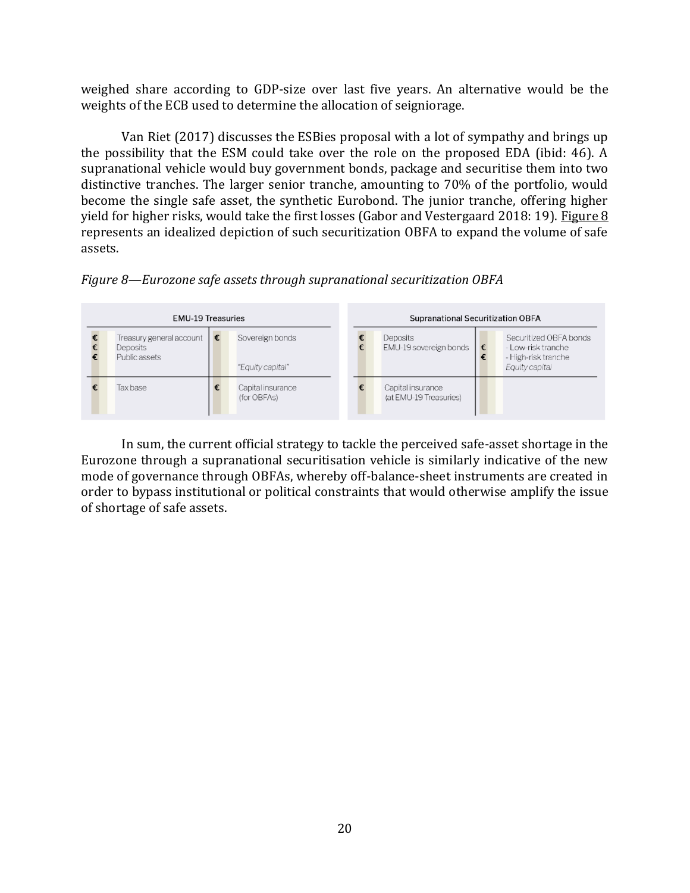weighed share according to GDP-size over last five years. An alternative would be the weights of the ECB used to determine the allocation of seigniorage.

Van Riet (2017) discusses the ESBies proposal with a lot of sympathy and brings up the possibility that the ESM could take over the role on the proposed EDA (ibid: 46). A supranational vehicle would buy government bonds, package and securitise them into two distinctive tranches. The larger senior tranche, amounting to 70% of the portfolio, would become the single safe asset, the synthetic Eurobond. The junior tranche, offering higher yield for higher risks, would take the first losses (Gabor and Vestergaard 2018: 19). Figure 8 represents an idealized depiction of such securitization OBFA to expand the volume of safe assets.





In sum, the current official strategy to tackle the perceived safe-asset shortage in the Eurozone through a supranational securitisation vehicle is similarly indicative of the new mode of governance through OBFAs, whereby off-balance-sheet instruments are created in order to bypass institutional or political constraints that would otherwise amplify the issue of shortage of safe assets.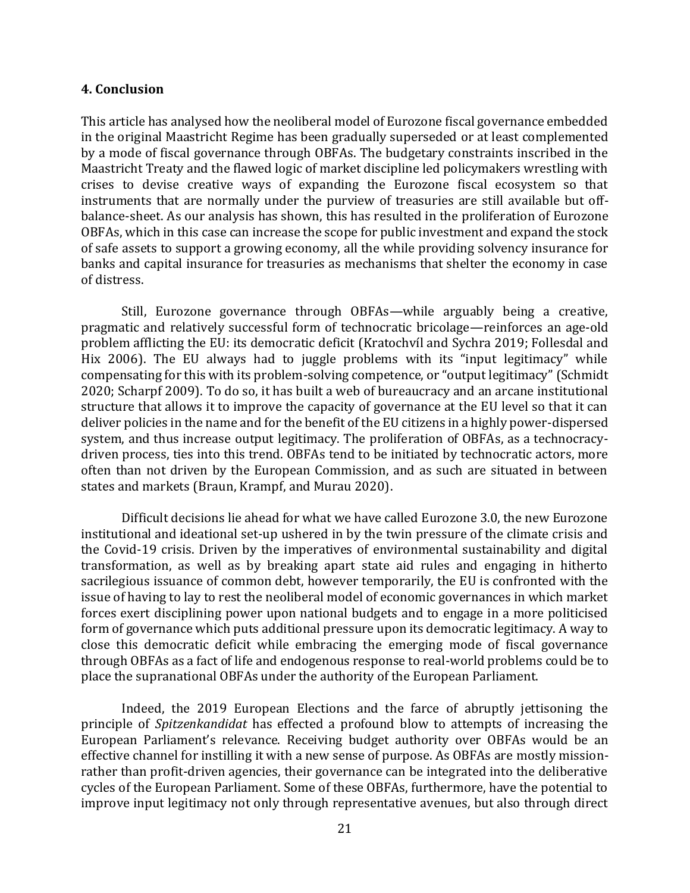#### **4. Conclusion**

This article has analysed how the neoliberal model of Eurozone fiscal governance embedded in the original Maastricht Regime has been gradually superseded or at least complemented by a mode of fiscal governance through OBFAs. The budgetary constraints inscribed in the Maastricht Treaty and the flawed logic of market discipline led policymakers wrestling with crises to devise creative ways of expanding the Eurozone fiscal ecosystem so that instruments that are normally under the purview of treasuries are still available but offbalance-sheet. As our analysis has shown, this has resulted in the proliferation of Eurozone OBFAs, which in this case can increase the scope for public investment and expand the stock of safe assets to support a growing economy, all the while providing solvency insurance for banks and capital insurance for treasuries as mechanisms that shelter the economy in case of distress.

Still, Eurozone governance through OBFAs—while arguably being a creative, pragmatic and relatively successful form of technocratic bricolage—reinforces an age-old problem afflicting the EU: its democratic deficit (Kratochvíl and Sychra 2019; Follesdal and Hix 2006). The EU always had to juggle problems with its "input legitimacy" while compensating for this with its problem-solving competence, or "output legitimacy" (Schmidt 2020; Scharpf 2009). To do so, it has built a web of bureaucracy and an arcane institutional structure that allows it to improve the capacity of governance at the EU level so that it can deliver policies in the name and for the benefit of the EU citizens in a highly power-dispersed system, and thus increase output legitimacy. The proliferation of OBFAs, as a technocracydriven process, ties into this trend. OBFAs tend to be initiated by technocratic actors, more often than not driven by the European Commission, and as such are situated in between states and markets (Braun, Krampf, and Murau 2020).

Difficult decisions lie ahead for what we have called Eurozone 3.0, the new Eurozone institutional and ideational set-up ushered in by the twin pressure of the climate crisis and the Covid-19 crisis. Driven by the imperatives of environmental sustainability and digital transformation, as well as by breaking apart state aid rules and engaging in hitherto sacrilegious issuance of common debt, however temporarily, the EU is confronted with the issue of having to lay to rest the neoliberal model of economic governances in which market forces exert disciplining power upon national budgets and to engage in a more politicised form of governance which puts additional pressure upon its democratic legitimacy. A way to close this democratic deficit while embracing the emerging mode of fiscal governance through OBFAs as a fact of life and endogenous response to real-world problems could be to place the supranational OBFAs under the authority of the European Parliament.

Indeed, the 2019 European Elections and the farce of abruptly jettisoning the principle of *Spitzenkandidat* has effected a profound blow to attempts of increasing the European Parliament's relevance. Receiving budget authority over OBFAs would be an effective channel for instilling it with a new sense of purpose. As OBFAs are mostly missionrather than profit-driven agencies, their governance can be integrated into the deliberative cycles of the European Parliament. Some of these OBFAs, furthermore, have the potential to improve input legitimacy not only through representative avenues, but also through direct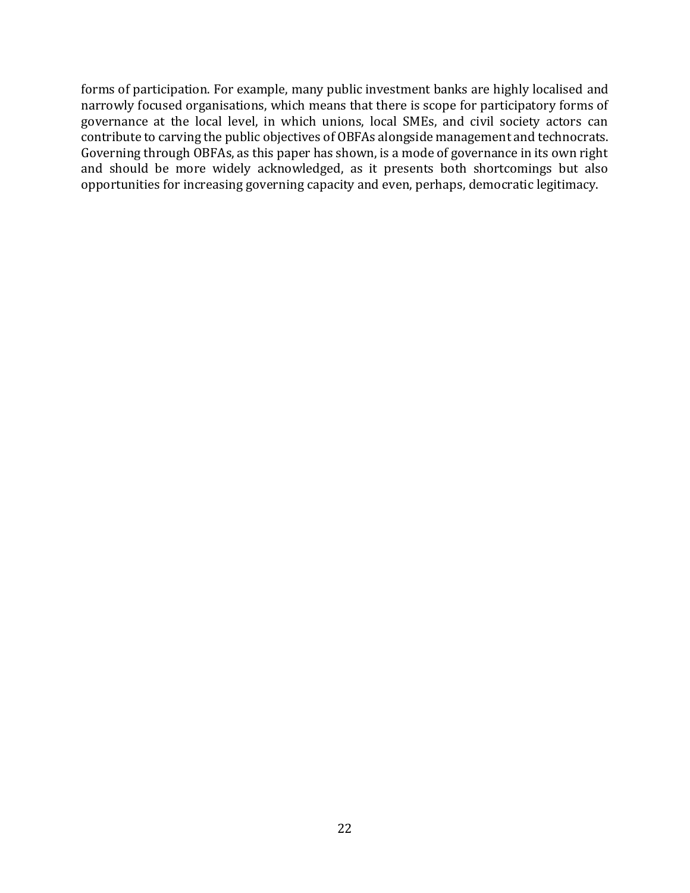forms of participation. For example, many public investment banks are highly localised and narrowly focused organisations, which means that there is scope for participatory forms of governance at the local level, in which unions, local SMEs, and civil society actors can contribute to carving the public objectives of OBFAs alongside management and technocrats. Governing through OBFAs, as this paper has shown, is a mode of governance in its own right and should be more widely acknowledged, as it presents both shortcomings but also opportunities for increasing governing capacity and even, perhaps, democratic legitimacy.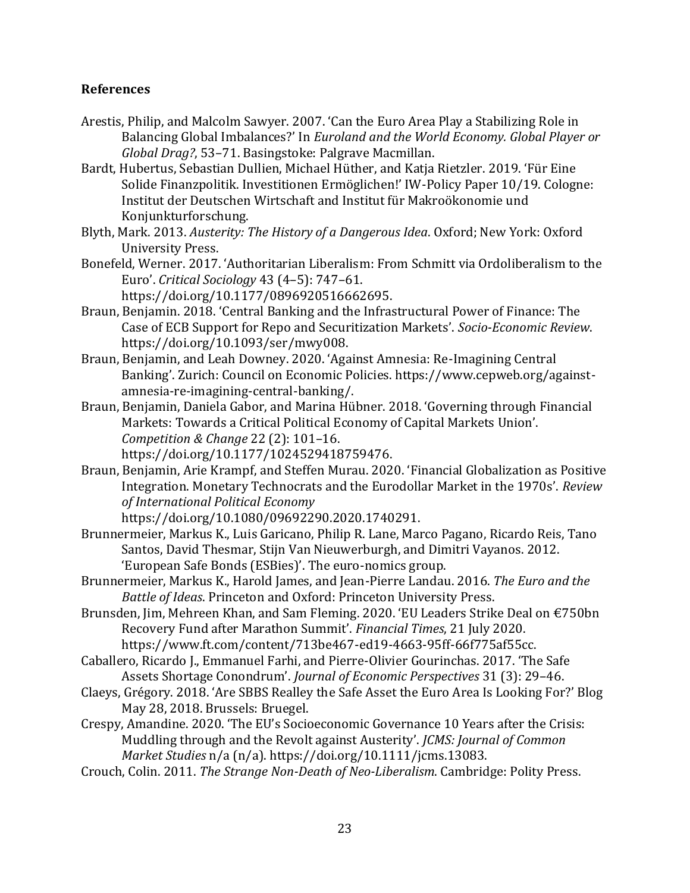# **References**

- Arestis, Philip, and Malcolm Sawyer. 2007. 'Can the Euro Area Play a Stabilizing Role in Balancing Global Imbalances?' In *Euroland and the World Economy. Global Player or Global Drag?*, 53–71. Basingstoke: Palgrave Macmillan.
- Bardt, Hubertus, Sebastian Dullien, Michael Hüther, and Katja Rietzler. 2019. 'Für Eine Solide Finanzpolitik. Investitionen Ermöglichen!' IW-Policy Paper 10/19. Cologne: Institut der Deutschen Wirtschaft and Institut für Makroökonomie und Konjunkturforschung.
- Blyth, Mark. 2013. *Austerity: The History of a Dangerous Idea*. Oxford; New York: Oxford University Press.
- Bonefeld, Werner. 2017. 'Authoritarian Liberalism: From Schmitt via Ordoliberalism to the Euro'. *Critical Sociology* 43 (4–5): 747–61. https://doi.org/10.1177/0896920516662695.
- Braun, Benjamin. 2018. 'Central Banking and the Infrastructural Power of Finance: The Case of ECB Support for Repo and Securitization Markets'. *Socio-Economic Review*. https://doi.org/10.1093/ser/mwy008.
- Braun, Benjamin, and Leah Downey. 2020. 'Against Amnesia: Re-Imagining Central Banking'. Zurich: Council on Economic Policies. https://www.cepweb.org/againstamnesia-re-imagining-central-banking/.
- Braun, Benjamin, Daniela Gabor, and Marina Hübner. 2018. 'Governing through Financial Markets: Towards a Critical Political Economy of Capital Markets Union'. *Competition & Change* 22 (2): 101–16. https://doi.org/10.1177/1024529418759476.
- Braun, Benjamin, Arie Krampf, and Steffen Murau. 2020. 'Financial Globalization as Positive Integration. Monetary Technocrats and the Eurodollar Market in the 1970s'. *Review of International Political Economy*

https://doi.org/10.1080/09692290.2020.1740291.

- Brunnermeier, Markus K., Luis Garicano, Philip R. Lane, Marco Pagano, Ricardo Reis, Tano Santos, David Thesmar, Stijn Van Nieuwerburgh, and Dimitri Vayanos. 2012. 'European Safe Bonds (ESBies)'. The euro-nomics group.
- Brunnermeier, Markus K., Harold James, and Jean-Pierre Landau. 2016. *The Euro and the Battle of Ideas*. Princeton and Oxford: Princeton University Press.
- Brunsden, Jim, Mehreen Khan, and Sam Fleming. 2020. 'EU Leaders Strike Deal on €750bn Recovery Fund after Marathon Summit'. *Financial Times*, 21 July 2020. https://www.ft.com/content/713be467-ed19-4663-95ff-66f775af55cc.
- Caballero, Ricardo J., Emmanuel Farhi, and Pierre-Olivier Gourinchas. 2017. 'The Safe Assets Shortage Conondrum'. *Journal of Economic Perspectives* 31 (3): 29–46.
- Claeys, Grégory. 2018. 'Are SBBS Realley the Safe Asset the Euro Area Is Looking For?' Blog May 28, 2018. Brussels: Bruegel.
- Crespy, Amandine. 2020. 'The EU's Socioeconomic Governance 10 Years after the Crisis: Muddling through and the Revolt against Austerity'. *JCMS: Journal of Common Market Studies* n/a (n/a). https://doi.org/10.1111/jcms.13083.
- Crouch, Colin. 2011. *The Strange Non-Death of Neo-Liberalism*. Cambridge: Polity Press.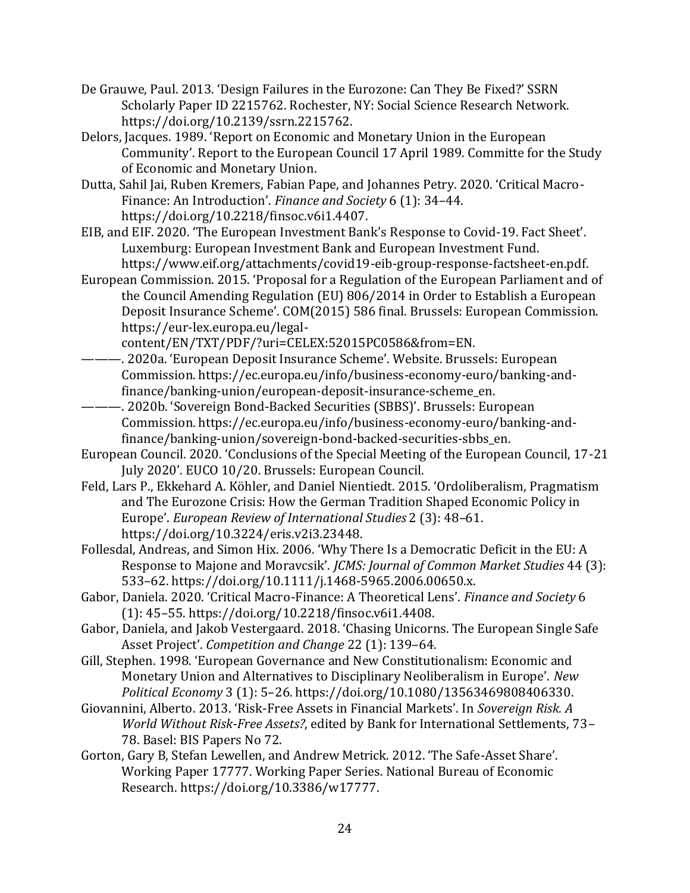- De Grauwe, Paul. 2013. 'Design Failures in the Eurozone: Can They Be Fixed?' SSRN Scholarly Paper ID 2215762. Rochester, NY: Social Science Research Network. https://doi.org/10.2139/ssrn.2215762.
- Delors, Jacques. 1989. 'Report on Economic and Monetary Union in the European Community'. Report to the European Council 17 April 1989. Committe for the Study of Economic and Monetary Union.
- Dutta, Sahil Jai, Ruben Kremers, Fabian Pape, and Johannes Petry. 2020. 'Critical Macro-Finance: An Introduction'. *Finance and Society* 6 (1): 34–44. https://doi.org/10.2218/finsoc.v6i1.4407.
- EIB, and EIF. 2020. 'The European Investment Bank's Response to Covid-19. Fact Sheet'. Luxemburg: European Investment Bank and European Investment Fund. https://www.eif.org/attachments/covid19-eib-group-response-factsheet-en.pdf.
- European Commission. 2015. 'Proposal for a Regulation of the European Parliament and of the Council Amending Regulation (EU) 806/2014 in Order to Establish a European Deposit Insurance Scheme'. COM(2015) 586 final. Brussels: European Commission. https://eur-lex.europa.eu/legal-

content/EN/TXT/PDF/?uri=CELEX:52015PC0586&from=EN.

- ———. 2020a. 'European Deposit Insurance Scheme'. Website. Brussels: European Commission. https://ec.europa.eu/info/business-economy-euro/banking-andfinance/banking-union/european-deposit-insurance-scheme\_en.
- ———. 2020b. 'Sovereign Bond-Backed Securities (SBBS)'. Brussels: European Commission. https://ec.europa.eu/info/business-economy-euro/banking-andfinance/banking-union/sovereign-bond-backed-securities-sbbs\_en.
- European Council. 2020. 'Conclusions of the Special Meeting of the European Council, 17-21 July 2020'. EUCO 10/20. Brussels: European Council.
- Feld, Lars P., Ekkehard A. Köhler, and Daniel Nientiedt. 2015. 'Ordoliberalism, Pragmatism and The Eurozone Crisis: How the German Tradition Shaped Economic Policy in Europe'. *European Review of International Studies* 2 (3): 48–61. https://doi.org/10.3224/eris.v2i3.23448.
- Follesdal, Andreas, and Simon Hix. 2006. 'Why There Is a Democratic Deficit in the EU: A Response to Majone and Moravcsik'. *JCMS: Journal of Common Market Studies* 44 (3): 533–62. https://doi.org/10.1111/j.1468-5965.2006.00650.x.
- Gabor, Daniela. 2020. 'Critical Macro-Finance: A Theoretical Lens'. *Finance and Society* 6 (1): 45–55. https://doi.org/10.2218/finsoc.v6i1.4408.
- Gabor, Daniela, and Jakob Vestergaard. 2018. 'Chasing Unicorns. The European Single Safe Asset Project'. *Competition and Change* 22 (1): 139–64.
- Gill, Stephen. 1998. 'European Governance and New Constitutionalism: Economic and Monetary Union and Alternatives to Disciplinary Neoliberalism in Europe'. *New Political Economy* 3 (1): 5–26. https://doi.org/10.1080/13563469808406330.
- Giovannini, Alberto. 2013. 'Risk-Free Assets in Financial Markets'. In *Sovereign Risk. A World Without Risk-Free Assets?*, edited by Bank for International Settlements, 73– 78. Basel: BIS Papers No 72.
- Gorton, Gary B, Stefan Lewellen, and Andrew Metrick. 2012. 'The Safe-Asset Share'. Working Paper 17777. Working Paper Series. National Bureau of Economic Research. https://doi.org/10.3386/w17777.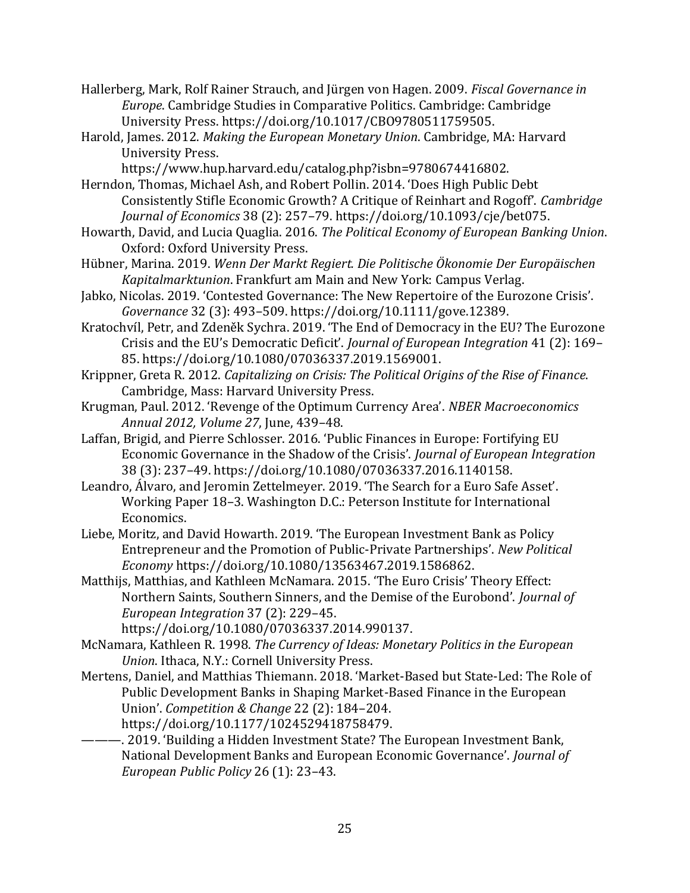- Hallerberg, Mark, Rolf Rainer Strauch, and Jürgen von Hagen. 2009. *Fiscal Governance in Europe*. Cambridge Studies in Comparative Politics. Cambridge: Cambridge University Press. https://doi.org/10.1017/CBO9780511759505.
- Harold, James. 2012. *Making the European Monetary Union*. Cambridge, MA: Harvard University Press.
	- https://www.hup.harvard.edu/catalog.php?isbn=9780674416802.
- Herndon, Thomas, Michael Ash, and Robert Pollin. 2014. 'Does High Public Debt Consistently Stifle Economic Growth? A Critique of Reinhart and Rogoff'. *Cambridge Journal of Economics* 38 (2): 257–79. https://doi.org/10.1093/cje/bet075.
- Howarth, David, and Lucia Quaglia. 2016. *The Political Economy of European Banking Union*. Oxford: Oxford University Press.
- Hübner, Marina. 2019. *Wenn Der Markt Regiert. Die Politische Ökonomie Der Europäischen Kapitalmarktunion*. Frankfurt am Main and New York: Campus Verlag.
- Jabko, Nicolas. 2019. 'Contested Governance: The New Repertoire of the Eurozone Crisis'. *Governance* 32 (3): 493–509. https://doi.org/10.1111/gove.12389.
- Kratochvíl, Petr, and Zdeněk Sychra. 2019. 'The End of Democracy in the EU? The Eurozone Crisis and the EU's Democratic Deficit'. *Journal of European Integration* 41 (2): 169– 85. https://doi.org/10.1080/07036337.2019.1569001.
- Krippner, Greta R. 2012. *Capitalizing on Crisis: The Political Origins of the Rise of Finance*. Cambridge, Mass: Harvard University Press.
- Krugman, Paul. 2012. 'Revenge of the Optimum Currency Area'. *NBER Macroeconomics Annual 2012, Volume 27*, June, 439–48.
- Laffan, Brigid, and Pierre Schlosser. 2016. 'Public Finances in Europe: Fortifying EU Economic Governance in the Shadow of the Crisis'. *Journal of European Integration* 38 (3): 237–49. https://doi.org/10.1080/07036337.2016.1140158.
- Leandro, Álvaro, and Jeromin Zettelmeyer. 2019. 'The Search for a Euro Safe Asset'. Working Paper 18–3. Washington D.C.: Peterson Institute for International Economics.
- Liebe, Moritz, and David Howarth. 2019. 'The European Investment Bank as Policy Entrepreneur and the Promotion of Public-Private Partnerships'. *New Political Economy* https://doi.org/10.1080/13563467.2019.1586862.
- Matthijs, Matthias, and Kathleen McNamara. 2015. 'The Euro Crisis' Theory Effect: Northern Saints, Southern Sinners, and the Demise of the Eurobond'. *Journal of European Integration* 37 (2): 229–45.

https://doi.org/10.1080/07036337.2014.990137.

- McNamara, Kathleen R. 1998. *The Currency of Ideas: Monetary Politics in the European Union*. Ithaca, N.Y.: Cornell University Press.
- Mertens, Daniel, and Matthias Thiemann. 2018. 'Market-Based but State-Led: The Role of Public Development Banks in Shaping Market-Based Finance in the European Union'. *Competition & Change* 22 (2): 184–204. https://doi.org/10.1177/1024529418758479.
- -. 2019. 'Building a Hidden Investment State? The European Investment Bank, National Development Banks and European Economic Governance'. *Journal of European Public Policy* 26 (1): 23–43.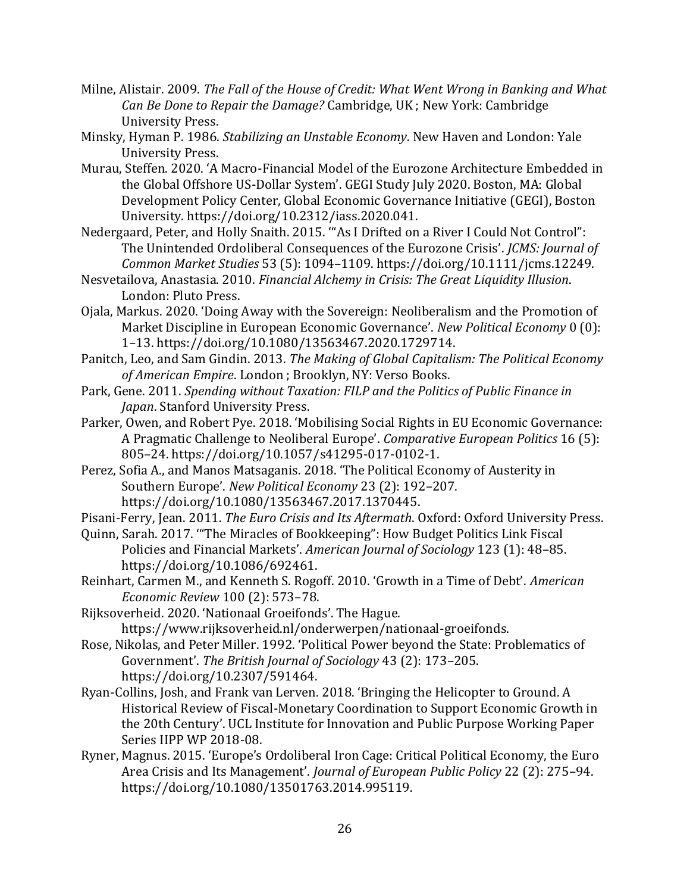- Milne, Alistair. 2009. *The Fall of the House of Credit: What Went Wrong in Banking and What Can Be Done to Repair the Damage?* Cambridge, UK ; New York: Cambridge University Press.
- Minsky, Hyman P. 1986. *Stabilizing an Unstable Economy*. New Haven and London: Yale University Press.
- Murau, Steffen. 2020. 'A Macro-Financial Model of the Eurozone Architecture Embedded in the Global Offshore US-Dollar System'. GEGI Study July 2020. Boston, MA: Global Development Policy Center, Global Economic Governance Initiative (GEGI), Boston University. https://doi.org/10.2312/iass.2020.041.
- Nedergaard, Peter, and Holly Snaith. 2015. '"As I Drifted on a River I Could Not Control": The Unintended Ordoliberal Consequences of the Eurozone Crisis'. *JCMS: Journal of Common Market Studies* 53 (5): 1094–1109. https://doi.org/10.1111/jcms.12249.
- Nesvetailova, Anastasia. 2010. *Financial Alchemy in Crisis: The Great Liquidity Illusion*. London: Pluto Press.
- Ojala, Markus. 2020. 'Doing Away with the Sovereign: Neoliberalism and the Promotion of Market Discipline in European Economic Governance'. *New Political Economy* 0 (0): 1–13. https://doi.org/10.1080/13563467.2020.1729714.
- Panitch, Leo, and Sam Gindin. 2013. *The Making of Global Capitalism: The Political Economy of American Empire*. London ; Brooklyn, NY: Verso Books.
- Park, Gene. 2011. *Spending without Taxation: FILP and the Politics of Public Finance in Japan*. Stanford University Press.
- Parker, Owen, and Robert Pye. 2018. 'Mobilising Social Rights in EU Economic Governance: A Pragmatic Challenge to Neoliberal Europe'. *Comparative European Politics* 16 (5): 805–24. https://doi.org/10.1057/s41295-017-0102-1.
- Perez, Sofia A., and Manos Matsaganis. 2018. 'The Political Economy of Austerity in Southern Europe'. *New Political Economy* 23 (2): 192–207. https://doi.org/10.1080/13563467.2017.1370445.
- Pisani-Ferry, Jean. 2011. *The Euro Crisis and Its Aftermath*. Oxford: Oxford University Press.
- Quinn, Sarah. 2017. '"The Miracles of Bookkeeping": How Budget Politics Link Fiscal Policies and Financial Markets'. *American Journal of Sociology* 123 (1): 48–85. https://doi.org/10.1086/692461.
- Reinhart, Carmen M., and Kenneth S. Rogoff. 2010. 'Growth in a Time of Debt'. *American Economic Review* 100 (2): 573–78.
- Rijksoverheid. 2020. 'Nationaal Groeifonds'. The Hague. https://www.rijksoverheid.nl/onderwerpen/nationaal-groeifonds.
- Rose, Nikolas, and Peter Miller. 1992. 'Political Power beyond the State: Problematics of Government'. *The British Journal of Sociology* 43 (2): 173–205. https://doi.org/10.2307/591464.
- Ryan-Collins, Josh, and Frank van Lerven. 2018. 'Bringing the Helicopter to Ground. A Historical Review of Fiscal-Monetary Coordination to Support Economic Growth in the 20th Century'. UCL Institute for Innovation and Public Purpose Working Paper Series IIPP WP 2018-08.
- Ryner, Magnus. 2015. 'Europe's Ordoliberal Iron Cage: Critical Political Economy, the Euro Area Crisis and Its Management'. *Journal of European Public Policy* 22 (2): 275–94. https://doi.org/10.1080/13501763.2014.995119.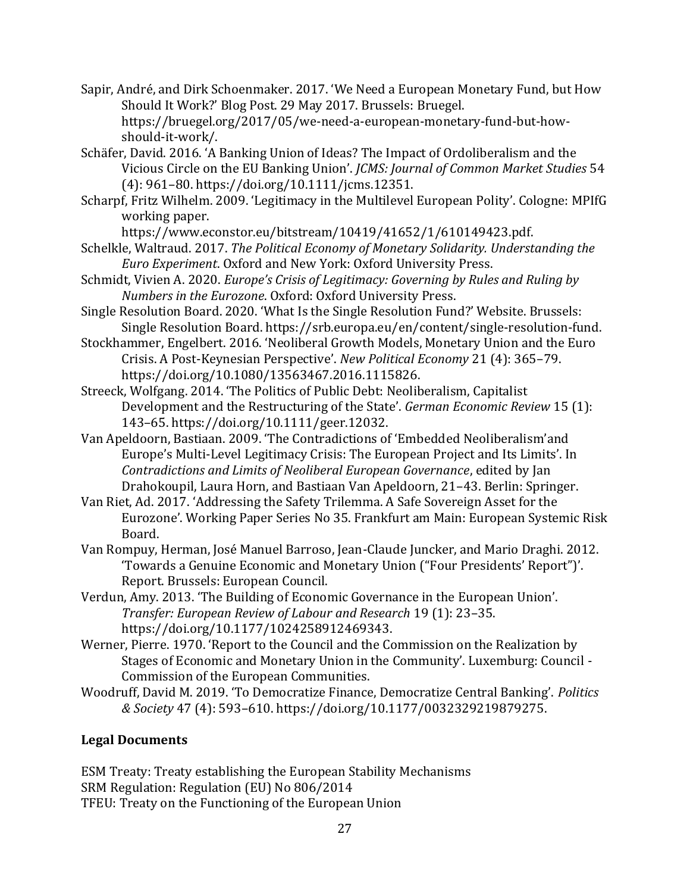- Sapir, André, and Dirk Schoenmaker. 2017. 'We Need a European Monetary Fund, but How Should It Work?' Blog Post. 29 May 2017. Brussels: Bruegel. https://bruegel.org/2017/05/we-need-a-european-monetary-fund-but-howshould-it-work/.
- Schäfer, David. 2016. 'A Banking Union of Ideas? The Impact of Ordoliberalism and the Vicious Circle on the EU Banking Union'. *JCMS: Journal of Common Market Studies* 54 (4): 961–80. https://doi.org/10.1111/jcms.12351.
- Scharpf, Fritz Wilhelm. 2009. 'Legitimacy in the Multilevel European Polity'. Cologne: MPIfG working paper.

https://www.econstor.eu/bitstream/10419/41652/1/610149423.pdf.

- Schelkle, Waltraud. 2017. *The Political Economy of Monetary Solidarity. Understanding the Euro Experiment*. Oxford and New York: Oxford University Press.
- Schmidt, Vivien A. 2020. *Europe's Crisis of Legitimacy: Governing by Rules and Ruling by Numbers in the Eurozone*. Oxford: Oxford University Press.
- Single Resolution Board. 2020. 'What Is the Single Resolution Fund?' Website. Brussels: Single Resolution Board. https://srb.europa.eu/en/content/single-resolution-fund.
- Stockhammer, Engelbert. 2016. 'Neoliberal Growth Models, Monetary Union and the Euro Crisis. A Post-Keynesian Perspective'. *New Political Economy* 21 (4): 365–79. https://doi.org/10.1080/13563467.2016.1115826.
- Streeck, Wolfgang. 2014. 'The Politics of Public Debt: Neoliberalism, Capitalist Development and the Restructuring of the State'. *German Economic Review* 15 (1): 143–65. https://doi.org/10.1111/geer.12032.
- Van Apeldoorn, Bastiaan. 2009. 'The Contradictions of 'Embedded Neoliberalism'and Europe's Multi-Level Legitimacy Crisis: The European Project and Its Limits'. In *Contradictions and Limits of Neoliberal European Governance*, edited by Jan Drahokoupil, Laura Horn, and Bastiaan Van Apeldoorn, 21–43. Berlin: Springer.
- Van Riet, Ad. 2017. 'Addressing the Safety Trilemma. A Safe Sovereign Asset for the Eurozone'. Working Paper Series No 35. Frankfurt am Main: European Systemic Risk Board.
- Van Rompuy, Herman, José Manuel Barroso, Jean-Claude Juncker, and Mario Draghi. 2012. 'Towards a Genuine Economic and Monetary Union ("Four Presidents' Report")'. Report. Brussels: European Council.
- Verdun, Amy. 2013. 'The Building of Economic Governance in the European Union'. *Transfer: European Review of Labour and Research* 19 (1): 23–35. https://doi.org/10.1177/1024258912469343.
- Werner, Pierre. 1970. 'Report to the Council and the Commission on the Realization by Stages of Economic and Monetary Union in the Community'. Luxemburg: Council - Commission of the European Communities.
- Woodruff, David M. 2019. 'To Democratize Finance, Democratize Central Banking'. *Politics & Society* 47 (4): 593–610. https://doi.org/10.1177/0032329219879275.

# **Legal Documents**

ESM Treaty: Treaty establishing the European Stability Mechanisms SRM Regulation: Regulation (EU) No 806/2014 TFEU: Treaty on the Functioning of the European Union